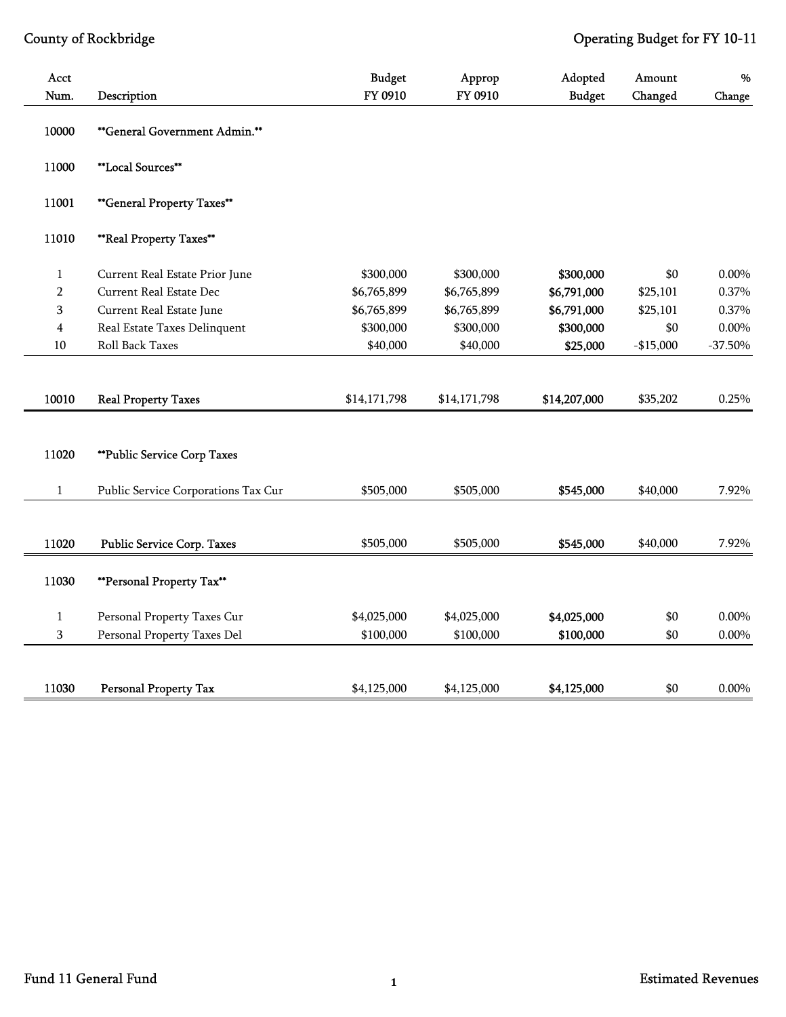| Acct                    |                                     | <b>Budget</b> | Approp       | Adopted       | Amount     | %         |
|-------------------------|-------------------------------------|---------------|--------------|---------------|------------|-----------|
| Num.                    | Description                         | FY 0910       | FY 0910      | <b>Budget</b> | Changed    | Change    |
| 10000                   | **General Government Admin.**       |               |              |               |            |           |
| 11000                   | **Local Sources**                   |               |              |               |            |           |
| 11001                   | **General Property Taxes**          |               |              |               |            |           |
| 11010                   | **Real Property Taxes**             |               |              |               |            |           |
| $\mathbf{1}$            | Current Real Estate Prior June      | \$300,000     | \$300,000    | \$300,000     | \$0        | $0.00\%$  |
| $\overline{2}$          | Current Real Estate Dec             | \$6,765,899   | \$6,765,899  | \$6,791,000   | \$25,101   | 0.37%     |
| 3                       | Current Real Estate June            | \$6,765,899   | \$6,765,899  | \$6,791,000   | \$25,101   | 0.37%     |
| $\overline{\mathbf{4}}$ | Real Estate Taxes Delinquent        | \$300,000     | \$300,000    | \$300,000     | \$0        | $0.00\%$  |
| 10                      | Roll Back Taxes                     | \$40,000      | \$40,000     | \$25,000      | $-$15,000$ | $-37.50%$ |
|                         |                                     |               |              |               |            |           |
| 10010                   | <b>Real Property Taxes</b>          | \$14,171,798  | \$14,171,798 | \$14,207,000  | \$35,202   | 0.25%     |
|                         |                                     |               |              |               |            |           |
| 11020                   | ** Public Service Corp Taxes        |               |              |               |            |           |
| $\mathbf{1}$            | Public Service Corporations Tax Cur | \$505,000     | \$505,000    | \$545,000     | \$40,000   | 7.92%     |
|                         |                                     |               |              |               |            |           |
| 11020                   | Public Service Corp. Taxes          | \$505,000     | \$505,000    | \$545,000     | \$40,000   | 7.92%     |
| 11030                   | **Personal Property Tax**           |               |              |               |            |           |
| $\mathbf{1}$            | Personal Property Taxes Cur         | \$4,025,000   | \$4,025,000  | \$4,025,000   | \$0        | $0.00\%$  |
| $\,$ 3 $\,$             | Personal Property Taxes Del         | \$100,000     | \$100,000    | \$100,000     | \$0        | $0.00\%$  |
|                         |                                     |               |              |               |            |           |
| 11030                   | <b>Personal Property Tax</b>        | \$4,125,000   | \$4,125,000  | \$4,125,000   | \$0        | $0.00\%$  |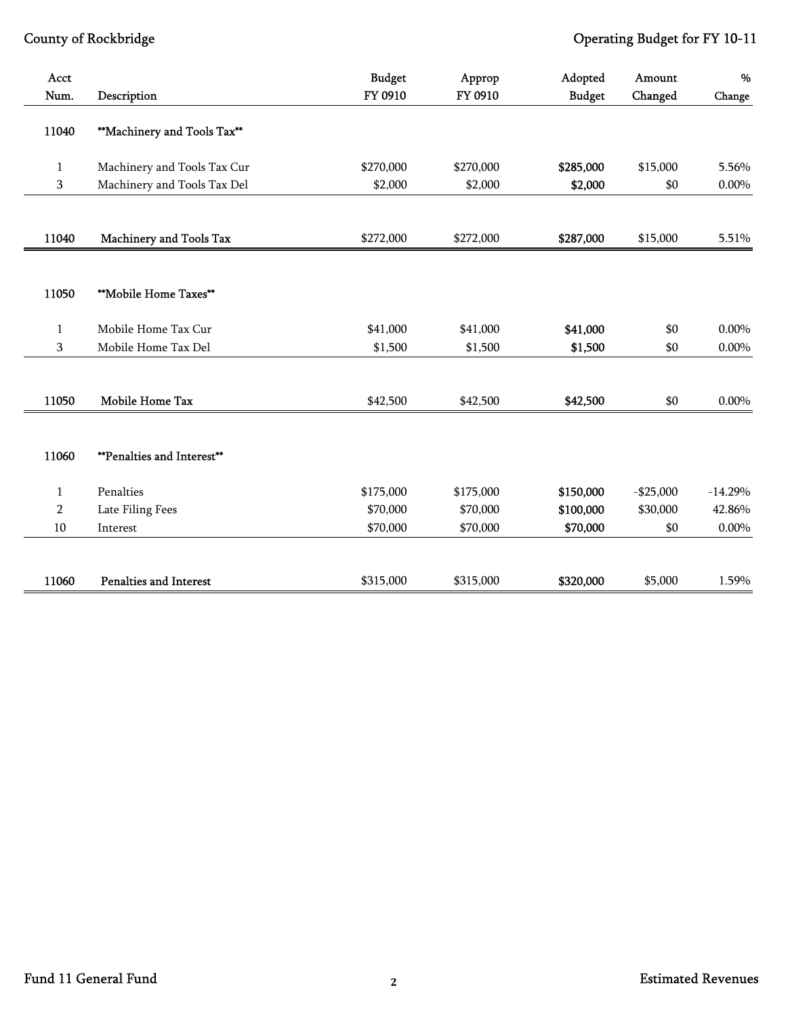| Acct           |                                   | <b>Budget</b> | Approp    | Adopted       | Amount     | %         |
|----------------|-----------------------------------|---------------|-----------|---------------|------------|-----------|
| Num.           | Description                       | FY 0910       | FY 0910   | <b>Budget</b> | Changed    | Change    |
| 11040          | **Machinery and Tools Tax**       |               |           |               |            |           |
| 1              | Machinery and Tools Tax Cur       | \$270,000     | \$270,000 | \$285,000     | \$15,000   | 5.56%     |
| 3              | Machinery and Tools Tax Del       | \$2,000       | \$2,000   | \$2,000       | \$0        | $0.00\%$  |
|                |                                   |               |           |               |            |           |
| 11040          | Machinery and Tools Tax           | \$272,000     | \$272,000 | \$287,000     | \$15,000   | 5.51%     |
|                |                                   |               |           |               |            |           |
| 11050          | **Mobile Home Taxes**             |               |           |               |            |           |
| 1              | Mobile Home Tax Cur               | \$41,000      | \$41,000  | \$41,000      | \$0        | $0.00\%$  |
| $\mathbf{3}$   | Mobile Home Tax Del               | \$1,500       | \$1,500   | \$1,500       | \$0        | $0.00\%$  |
|                |                                   |               |           |               |            |           |
| 11050          | Mobile Home Tax                   | \$42,500      | \$42,500  | \$42,500      | \$0        | $0.00\%$  |
|                |                                   |               |           |               |            |           |
| 11060          | <b>**Penalties and Interest**</b> |               |           |               |            |           |
| $\mathbf{1}$   | Penalties                         | \$175,000     | \$175,000 | \$150,000     | $-$25,000$ | $-14.29%$ |
| $\overline{2}$ | Late Filing Fees                  | \$70,000      | \$70,000  | \$100,000     | \$30,000   | 42.86%    |
| 10             | Interest                          | \$70,000      | \$70,000  | \$70,000      | \$0        | $0.00\%$  |
|                |                                   |               |           |               |            |           |
| 11060          | <b>Penalties and Interest</b>     | \$315,000     | \$315,000 | \$320,000     | \$5,000    | 1.59%     |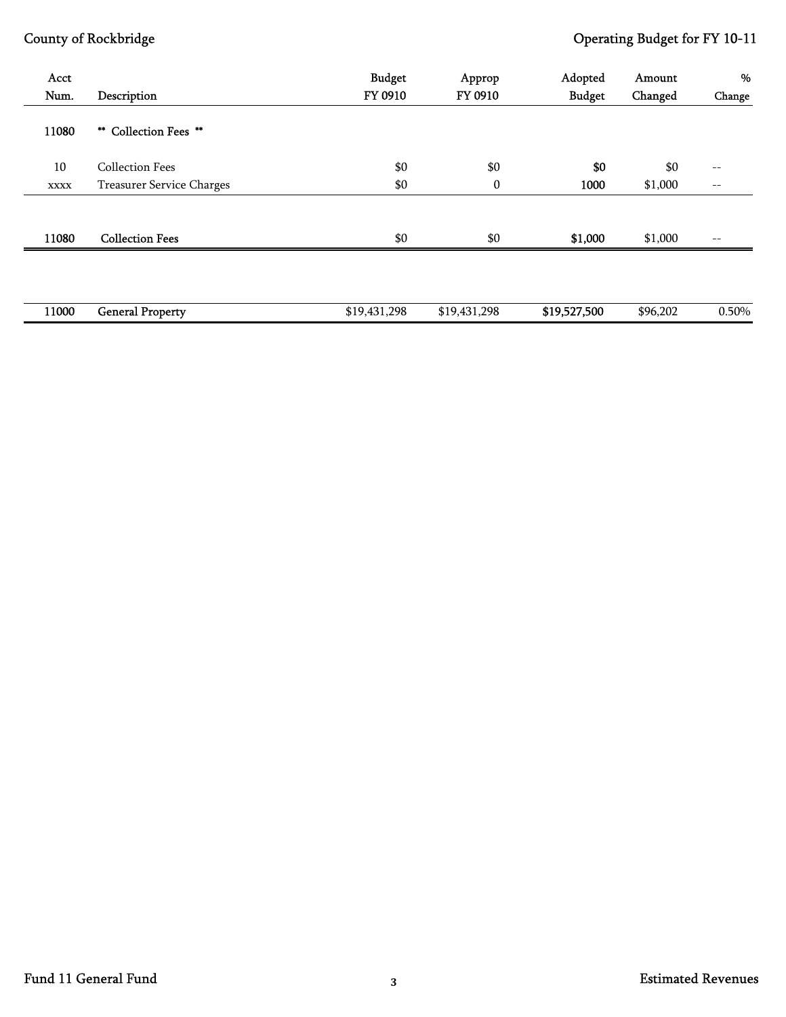| Acct<br>Num. | Description               | <b>Budget</b><br>FY 0910 | Approp<br>FY 0910 | Adopted<br><b>Budget</b> | Amount<br>Changed | %<br>Change       |
|--------------|---------------------------|--------------------------|-------------------|--------------------------|-------------------|-------------------|
| 11080        | ** Collection Fees **     |                          |                   |                          |                   |                   |
| 10           | <b>Collection Fees</b>    | \$0                      | \$0               | \$0                      | \$0               | $\qquad \qquad -$ |
| <b>XXXX</b>  | Treasurer Service Charges | \$0                      | $\bf{0}$          | 1000                     | \$1,000           | $-\,-$            |
|              |                           |                          |                   |                          |                   |                   |
| 11080        | <b>Collection Fees</b>    | \$0                      | \$0               | \$1,000                  | \$1,000           | $\qquad \qquad -$ |
|              |                           |                          |                   |                          |                   |                   |
| 11000        | <b>General Property</b>   | \$19,431,298             | \$19,431,298      | \$19,527,500             | \$96,202          | 0.50%             |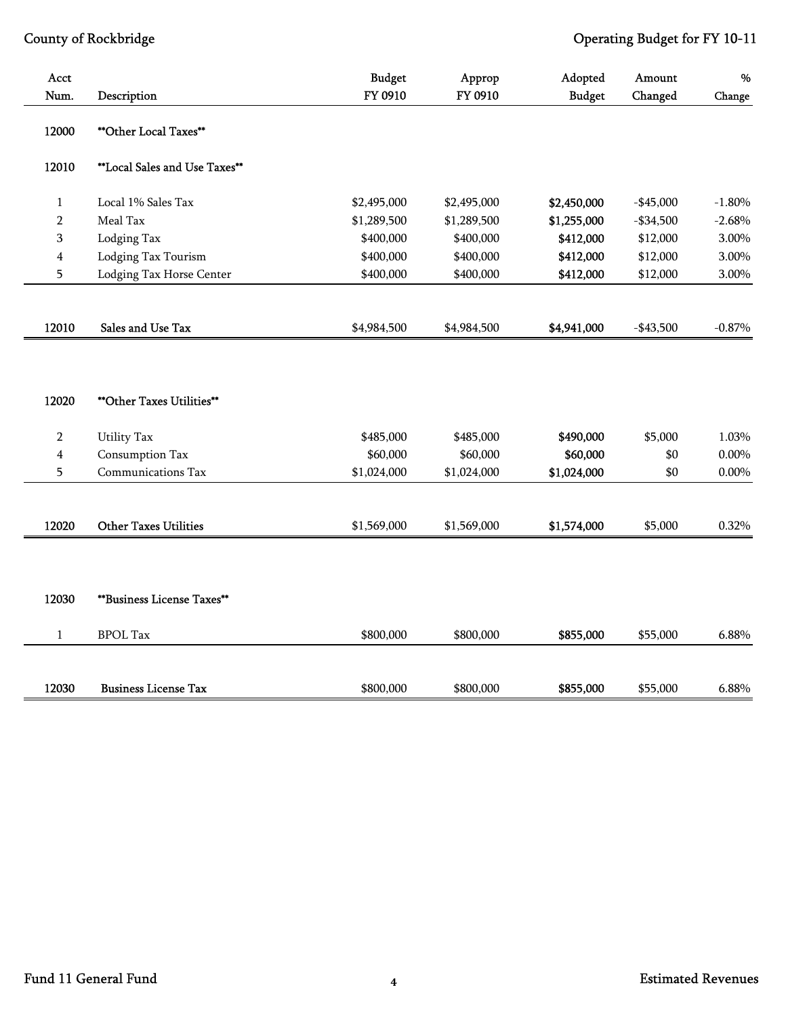| Acct                    |                                   | <b>Budget</b> | Approp      | Adopted       | Amount     | %        |
|-------------------------|-----------------------------------|---------------|-------------|---------------|------------|----------|
| Num.                    | Description                       | FY 0910       | FY 0910     | <b>Budget</b> | Changed    | Change   |
| 12000                   | **Other Local Taxes**             |               |             |               |            |          |
| 12010                   | **Local Sales and Use Taxes**     |               |             |               |            |          |
| $\mathbf{1}$            | Local 1% Sales Tax                | \$2,495,000   | \$2,495,000 | \$2,450,000   | $-$45,000$ | $-1.80%$ |
| $\overline{2}$          | Meal Tax                          | \$1,289,500   | \$1,289,500 | \$1,255,000   | $-$34,500$ | $-2.68%$ |
| 3                       | Lodging Tax                       | \$400,000     | \$400,000   | \$412,000     | \$12,000   | 3.00%    |
| $\overline{\mathbf{4}}$ | Lodging Tax Tourism               | \$400,000     | \$400,000   | \$412,000     | \$12,000   | 3.00%    |
| 5                       | Lodging Tax Horse Center          | \$400,000     | \$400,000   | \$412,000     | \$12,000   | 3.00%    |
|                         |                                   |               |             |               |            |          |
| 12010                   | Sales and Use Tax                 | \$4,984,500   | \$4,984,500 | \$4,941,000   | $-$43,500$ | $-0.87%$ |
| 12020                   | <b>**Other Taxes Utilities**</b>  |               |             |               |            |          |
| $\overline{2}$          | <b>Utility Tax</b>                | \$485,000     | \$485,000   | \$490,000     | \$5,000    | 1.03%    |
| $\overline{\mathbf{4}}$ | Consumption Tax                   | \$60,000      | \$60,000    | \$60,000      | \$0        | $0.00\%$ |
| 5                       | Communications Tax                | \$1,024,000   | \$1,024,000 | \$1,024,000   | \$0        | $0.00\%$ |
|                         |                                   |               |             |               |            |          |
| 12020                   | <b>Other Taxes Utilities</b>      | \$1,569,000   | \$1,569,000 | \$1,574,000   | \$5,000    | 0.32%    |
|                         |                                   |               |             |               |            |          |
| 12030                   | <b>**Business License Taxes**</b> |               |             |               |            |          |
| $\mathbf{1}$            | <b>BPOL Tax</b>                   | \$800,000     | \$800,000   | \$855,000     | \$55,000   | 6.88%    |
|                         |                                   |               |             |               |            |          |
| 12030                   | <b>Business License Tax</b>       | \$800,000     | \$800,000   | \$855,000     | \$55,000   | 6.88%    |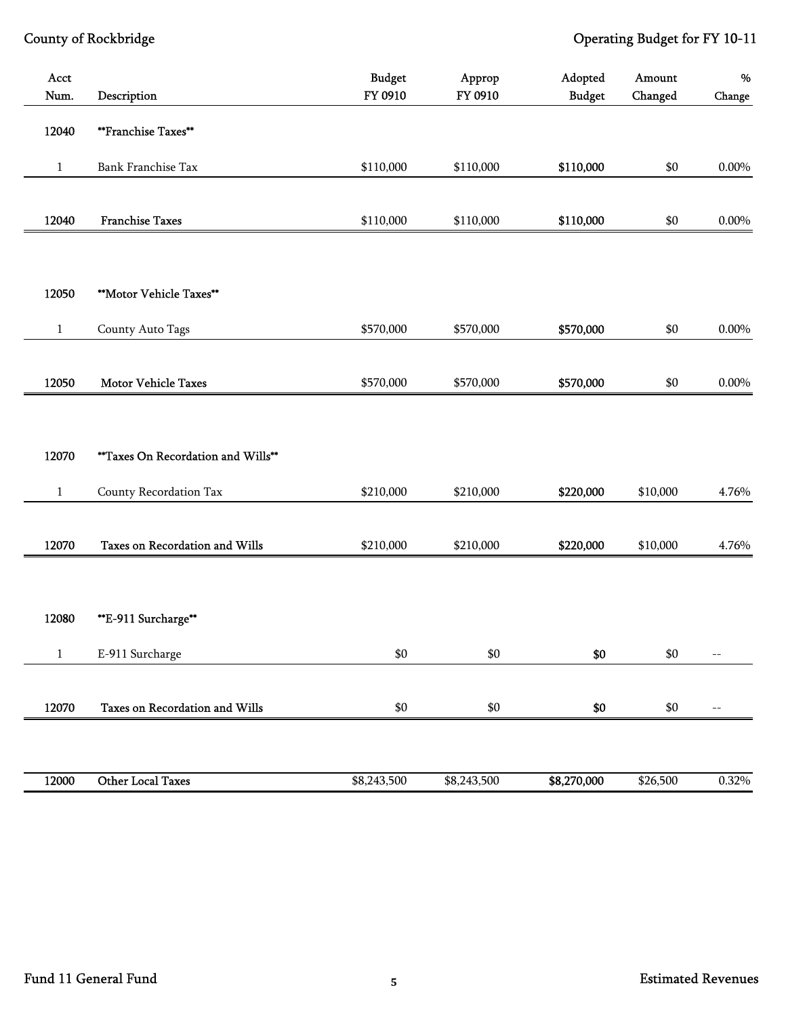| Acct<br>Num. | Description                        | <b>Budget</b><br>FY 0910 | Approp<br>FY 0910 | Adopted<br><b>Budget</b> | Amount<br>Changed | $\%$<br>${\bf Change}$ |
|--------------|------------------------------------|--------------------------|-------------------|--------------------------|-------------------|------------------------|
| 12040        | **Franchise Taxes**                |                          |                   |                          |                   |                        |
| $\mathbf{1}$ | Bank Franchise Tax                 | \$110,000                | \$110,000         | \$110,000                | \$0               | $0.00\%$               |
|              |                                    |                          |                   |                          |                   |                        |
| 12040        | <b>Franchise Taxes</b>             | \$110,000                | \$110,000         | \$110,000                | \$0               | $0.00\%$               |
|              |                                    |                          |                   |                          |                   |                        |
| 12050        | **Motor Vehicle Taxes**            |                          |                   |                          |                   |                        |
| $\mathbf{1}$ | County Auto Tags                   | \$570,000                | \$570,000         | \$570,000                | \$0               | $0.00\%$               |
| 12050        | <b>Motor Vehicle Taxes</b>         | \$570,000                | \$570,000         | \$570,000                | \$0               | 0.00%                  |
|              |                                    |                          |                   |                          |                   |                        |
| 12070        | **Taxes On Recordation and Wills** |                          |                   |                          |                   |                        |
| $\mathbf{1}$ | County Recordation Tax             | \$210,000                | \$210,000         | \$220,000                | \$10,000          | 4.76%                  |
| 12070        | Taxes on Recordation and Wills     | \$210,000                | \$210,000         | \$220,000                | \$10,000          | 4.76%                  |
| 12080        | **E-911 Surcharge**                |                          |                   |                          |                   |                        |
| $\mathbf{1}$ | E-911 Surcharge                    | $\$0$                    | $\$0$             | $\$0$                    | \$0               | $- \, -$               |
| 12070        | Taxes on Recordation and Wills     | \$0                      | \$0               | \$0                      | $\$0$             | $- \, -$               |
| 12000        | Other Local Taxes                  | \$8,243,500              | \$8,243,500       | \$8,270,000              | \$26,500          | 0.32%                  |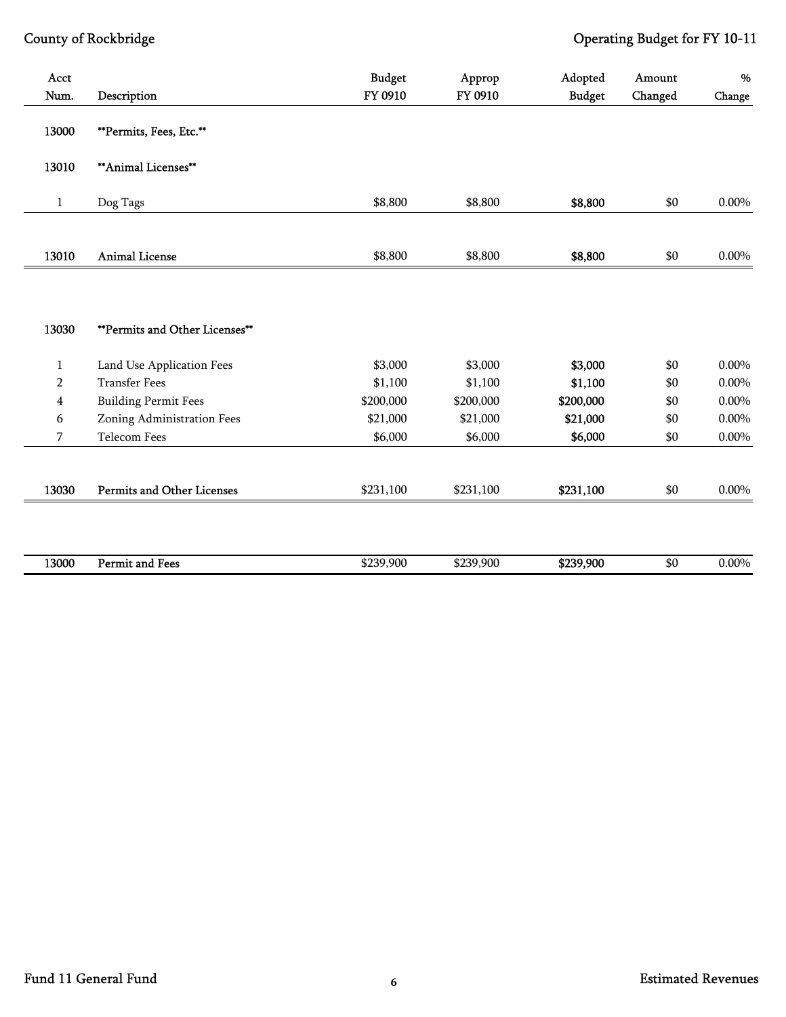| Acct<br>Num.   | Description                       | <b>Budget</b><br>FY 0910 | Approp<br>FY 0910 | Adopted<br><b>Budget</b> | Amount<br>Changed | %<br>Change |
|----------------|-----------------------------------|--------------------------|-------------------|--------------------------|-------------------|-------------|
| 13000          | **Permits, Fees, Etc.**           |                          |                   |                          |                   |             |
| 13010          | ** Animal Licenses**              |                          |                   |                          |                   |             |
| $\mathbf{1}$   | Dog Tags                          | \$8,800                  | \$8,800           | \$8,800                  | \$0               | $0.00\%$    |
|                |                                   |                          |                   |                          |                   |             |
| 13010          | <b>Animal License</b>             | \$8,800                  | \$8,800           | \$8,800                  | \$0               | $0.00\%$    |
| 13030          | **Permits and Other Licenses**    |                          |                   |                          |                   |             |
| 1              | Land Use Application Fees         | \$3,000                  | \$3,000           | \$3,000                  | \$0               | 0.00%       |
| $\overline{2}$ | <b>Transfer Fees</b>              | \$1,100                  | \$1,100           | \$1,100                  | \$0               | $0.00\%$    |
| $\overline{4}$ | <b>Building Permit Fees</b>       | \$200,000                | \$200,000         | \$200,000                | \$0               | $0.00\%$    |
| 6              | Zoning Administration Fees        | \$21,000                 | \$21,000          | \$21,000                 | \$0               | $0.00\%$    |
| 7              | <b>Telecom Fees</b>               | \$6,000                  | \$6,000           | \$6,000                  | \$0               | $0.00\%$    |
| 13030          | <b>Permits and Other Licenses</b> | \$231,100                | \$231,100         | \$231,100                | \$0               | $0.00\%$    |
|                |                                   |                          |                   |                          |                   |             |

| 13000 | Permit and<br>∡ Fees | \$239,900<br>___ | \$239.900<br>، / ۱۳ | \$239,900 | ሐሰ<br>æч | $0.00\%$ |
|-------|----------------------|------------------|---------------------|-----------|----------|----------|
|       |                      |                  |                     |           |          |          |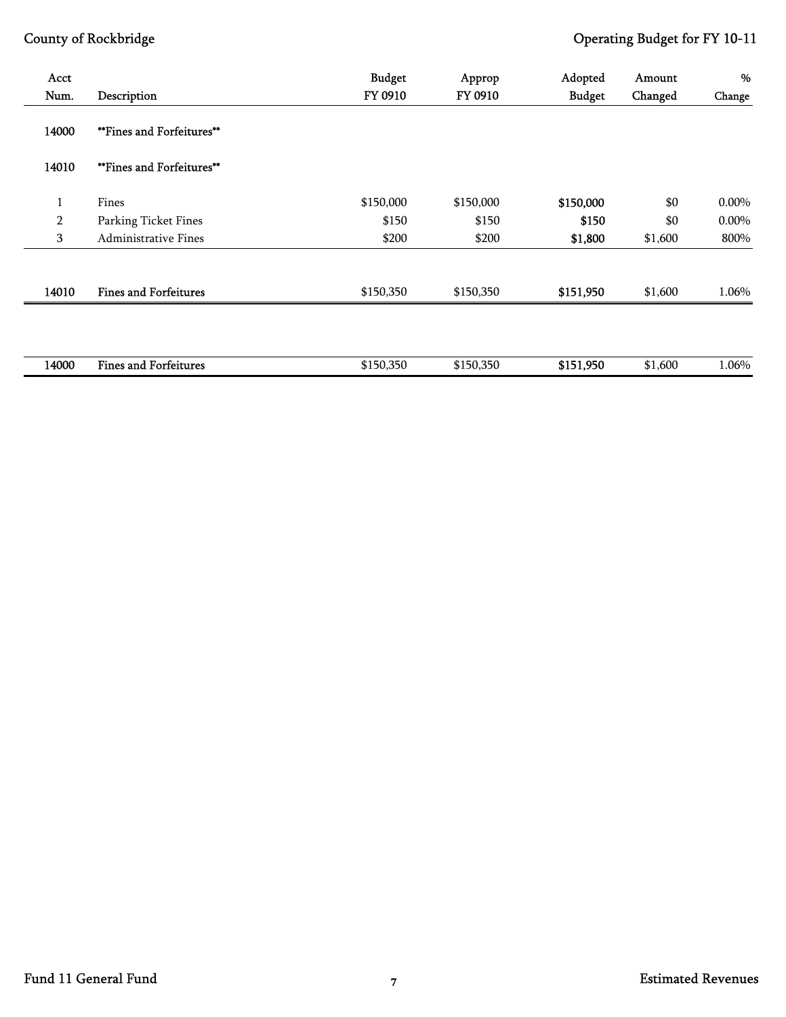| Acct<br>Num.   | Description                      | <b>Budget</b><br>FY 0910 | Approp<br>FY 0910 | Adopted<br><b>Budget</b> | Amount<br>Changed | %<br>Change |
|----------------|----------------------------------|--------------------------|-------------------|--------------------------|-------------------|-------------|
| 14000          | <b>**Fines and Forfeitures**</b> |                          |                   |                          |                   |             |
|                |                                  |                          |                   |                          |                   |             |
| 14010          | <b>**Fines and Forfeitures**</b> |                          |                   |                          |                   |             |
| $\mathbf{1}$   | Fines                            | \$150,000                | \$150,000         | \$150,000                | \$0               | 0.00%       |
| $\overline{2}$ | Parking Ticket Fines             | \$150                    | \$150             | \$150                    | \$0               | 0.00%       |
| 3              | <b>Administrative Fines</b>      | \$200                    | \$200             | \$1,800                  | \$1,600           | 800%        |
| 14010          | <b>Fines and Forfeitures</b>     | \$150,350                | \$150,350         | \$151,950                | \$1,600           | 1.06%       |
|                |                                  |                          |                   |                          |                   |             |
| 14000          | <b>Fines and Forfeitures</b>     | \$150,350                | \$150,350         | \$151,950                | \$1,600           | 1.06%       |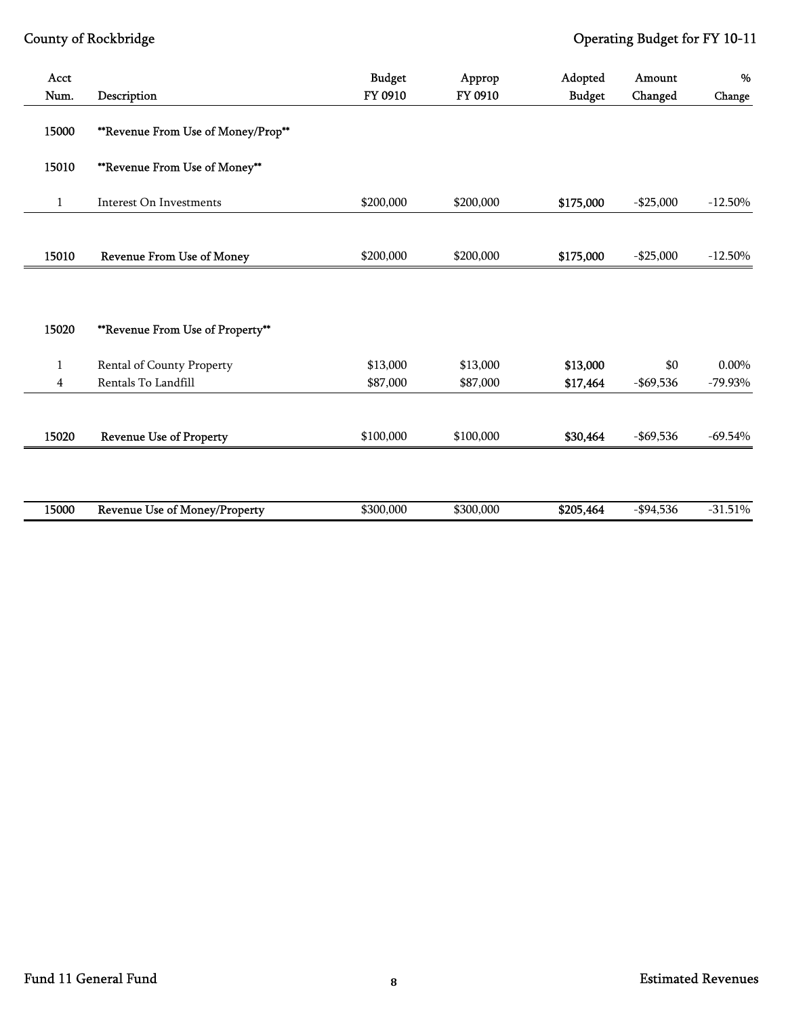| Acct<br>Num.   | Description                        | <b>Budget</b><br>FY 0910 | Approp<br>FY 0910 | Adopted<br><b>Budget</b> | Amount<br>Changed | %<br>Change |
|----------------|------------------------------------|--------------------------|-------------------|--------------------------|-------------------|-------------|
|                |                                    |                          |                   |                          |                   |             |
| 15000          | **Revenue From Use of Money/Prop** |                          |                   |                          |                   |             |
| 15010          | **Revenue From Use of Money**      |                          |                   |                          |                   |             |
| $\mathbf{1}$   | Interest On Investments            | \$200,000                | \$200,000         | \$175,000                | $-$ \$25,000      | $-12.50%$   |
|                |                                    |                          |                   |                          |                   |             |
| 15010          | <b>Revenue From Use of Money</b>   | \$200,000                | \$200,000         | \$175,000                | $-$ \$25,000      | $-12.50%$   |
|                |                                    |                          |                   |                          |                   |             |
|                |                                    |                          |                   |                          |                   |             |
| 15020          | **Revenue From Use of Property**   |                          |                   |                          |                   |             |
| $\mathbf{1}$   | Rental of County Property          | \$13,000                 | \$13,000          | \$13,000                 | \$0               | 0.00%       |
| $\overline{4}$ | Rentals To Landfill                | \$87,000                 | \$87,000          | \$17,464                 | $-$ \$69,536      | $-79.93\%$  |
|                |                                    |                          |                   |                          |                   |             |
| 15020          | <b>Revenue Use of Property</b>     | \$100,000                | \$100,000         | \$30,464                 | $-$ \$69,536      | $-69.54%$   |
|                |                                    |                          |                   |                          |                   |             |
|                |                                    |                          |                   |                          |                   |             |
| 15000          | Revenue Use of Money/Property      | \$300,000                | \$300,000         | \$205,464                | $-$ \$94,536      | $-31.51%$   |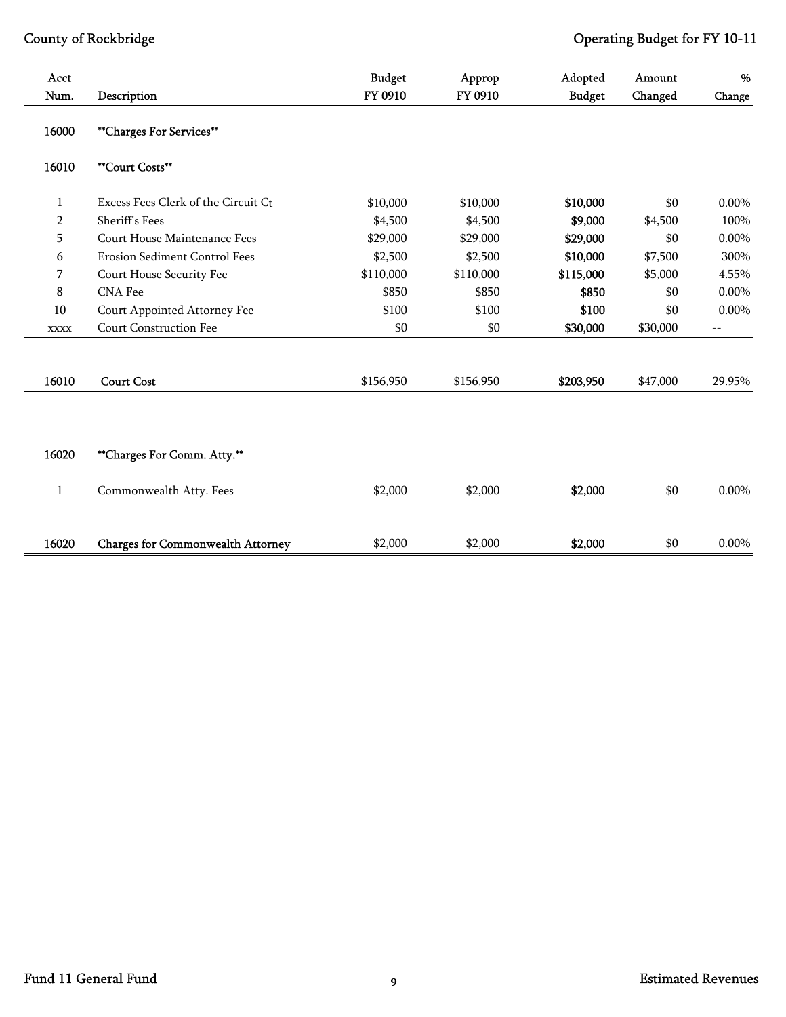| Acct<br>Num.   | Description                              | <b>Budget</b><br>FY 0910 | Approp<br>FY 0910 | Adopted<br><b>Budget</b> | Amount<br>Changed | $\%$<br>Change           |
|----------------|------------------------------------------|--------------------------|-------------------|--------------------------|-------------------|--------------------------|
|                |                                          |                          |                   |                          |                   |                          |
| 16000          | **Charges For Services**                 |                          |                   |                          |                   |                          |
| 16010          | <b>**Court Costs**</b>                   |                          |                   |                          |                   |                          |
| 1              | Excess Fees Clerk of the Circuit Ct      | \$10,000                 | \$10,000          | \$10,000                 | \$0               | $0.00\%$                 |
| $\overline{2}$ | <b>Sheriff's Fees</b>                    | \$4,500                  | \$4,500           | \$9,000                  | \$4,500           | 100%                     |
| 5              | Court House Maintenance Fees             | \$29,000                 | \$29,000          | \$29,000                 | \$0               | 0.00%                    |
| 6              | <b>Erosion Sediment Control Fees</b>     | \$2,500                  | \$2,500           | \$10,000                 | \$7,500           | 300%                     |
| 7              | Court House Security Fee                 | \$110,000                | \$110,000         | \$115,000                | \$5,000           | 4.55%                    |
| 8              | <b>CNA</b> Fee                           | \$850                    | \$850             | \$850                    | \$0               | $0.00\%$                 |
| 10             | Court Appointed Attorney Fee             | \$100                    | \$100             | \$100                    | \$0               | $0.00\%$                 |
| <b>XXXX</b>    | Court Construction Fee                   | \$0                      | \$0               | \$30,000                 | \$30,000          | $\overline{\phantom{m}}$ |
| 16010          | <b>Court Cost</b>                        | \$156,950                | \$156,950         | \$203,950                | \$47,000          | 29.95%                   |
|                |                                          |                          |                   |                          |                   |                          |
| 16020          | **Charges For Comm. Atty.**              |                          |                   |                          |                   |                          |
| $\mathbf{1}$   | Commonwealth Atty. Fees                  | \$2,000                  | \$2,000           | \$2,000                  | \$0               | $0.00\%$                 |
| 16020          | <b>Charges for Commonwealth Attorney</b> | \$2,000                  | \$2,000           | \$2,000                  | \$0               | $0.00\%$                 |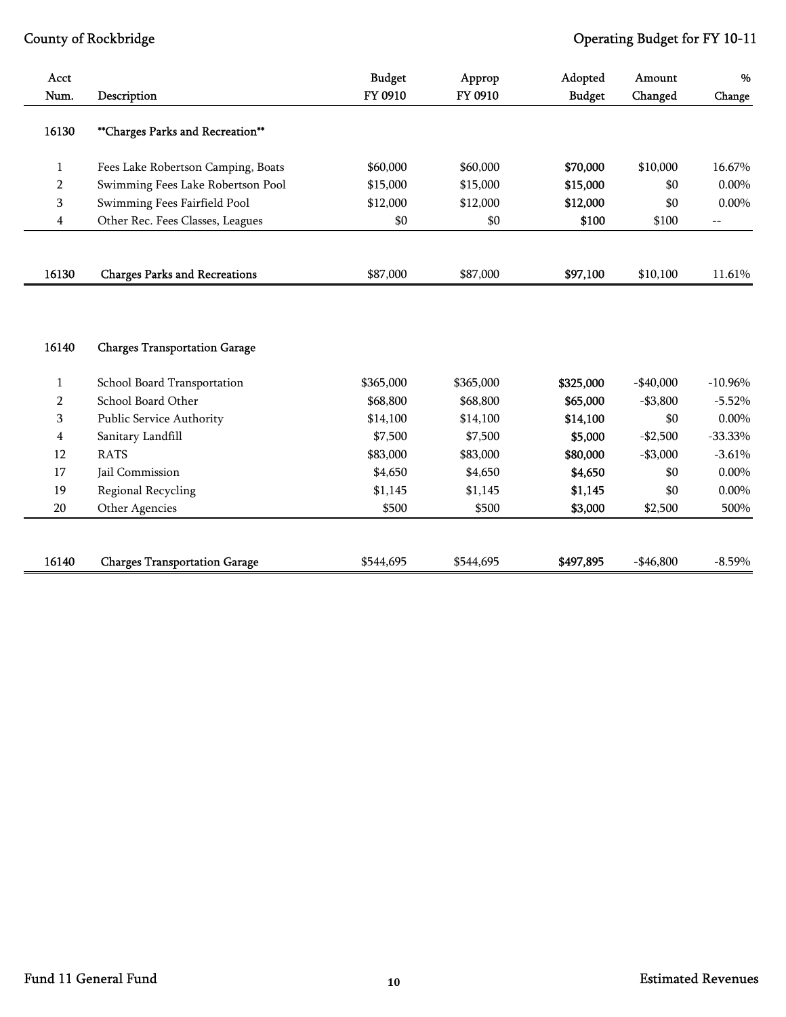| Acct           |                                      | <b>Budget</b> | Approp    | Adopted       | Amount     | %                                             |
|----------------|--------------------------------------|---------------|-----------|---------------|------------|-----------------------------------------------|
| Num.           | Description                          | FY 0910       | FY 0910   | <b>Budget</b> | Changed    | Change                                        |
| 16130          | **Charges Parks and Recreation**     |               |           |               |            |                                               |
| $\mathbf{1}$   | Fees Lake Robertson Camping, Boats   | \$60,000      | \$60,000  | \$70,000      | \$10,000   | 16.67%                                        |
| $\overline{2}$ | Swimming Fees Lake Robertson Pool    | \$15,000      | \$15,000  | \$15,000      | \$0        | $0.00\%$                                      |
| 3              | Swimming Fees Fairfield Pool         | \$12,000      | \$12,000  | \$12,000      | \$0        | 0.00%                                         |
| 4              | Other Rec. Fees Classes, Leagues     | \$0           | \$0       | \$100         | \$100      | $\mathord{\hspace{1pt}\text{--}\hspace{1pt}}$ |
|                |                                      |               |           |               |            |                                               |
| 16130          | <b>Charges Parks and Recreations</b> | \$87,000      | \$87,000  | \$97,100      | \$10,100   | 11.61%                                        |
| 16140          | <b>Charges Transportation Garage</b> |               |           |               |            |                                               |
| $\mathbf{1}$   | School Board Transportation          | \$365,000     | \$365,000 | \$325,000     | $-$40,000$ | $-10.96%$                                     |
| $\overline{2}$ | School Board Other                   | \$68,800      | \$68,800  | \$65,000      | $- $3,800$ | $-5.52%$                                      |
| 3              | Public Service Authority             | \$14,100      | \$14,100  | \$14,100      | \$0        | 0.00%                                         |
| 4              | Sanitary Landfill                    | \$7,500       | \$7,500   | \$5,000       | $-$2,500$  | $-33.33%$                                     |
| 12             | <b>RATS</b>                          | \$83,000      | \$83,000  | \$80,000      | $-$3,000$  | $-3.61%$                                      |
| 17             | Jail Commission                      | \$4,650       | \$4,650   | \$4,650       | \$0        | $0.00\%$                                      |
| 19             | Regional Recycling                   | \$1,145       | \$1,145   | \$1,145       | \$0        | 0.00%                                         |
| 20             | Other Agencies                       | \$500         | \$500     | \$3,000       | \$2,500    | 500%                                          |
| 16140          | <b>Charges Transportation Garage</b> | \$544,695     | \$544,695 | \$497,895     | $-$46,800$ | $-8.59%$                                      |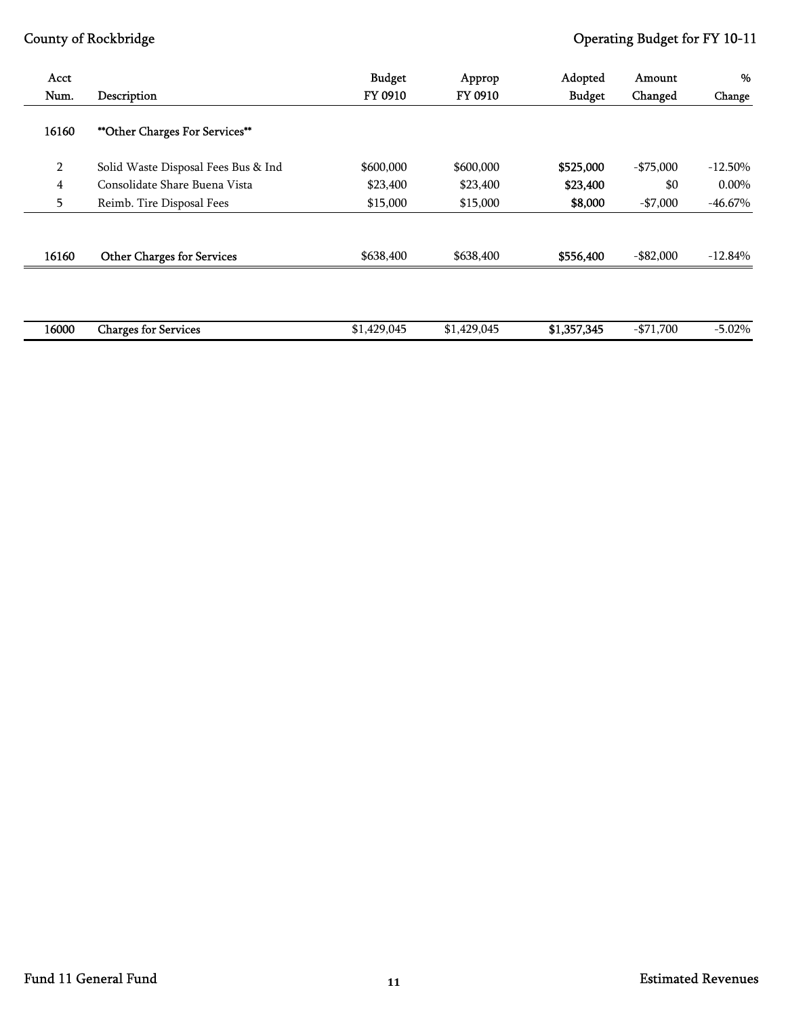| Acct           |                                       | <b>Budget</b> | Approp      | Adopted       | Amount       | %          |
|----------------|---------------------------------------|---------------|-------------|---------------|--------------|------------|
| Num.           | Description                           | FY 0910       | FY 0910     | <b>Budget</b> | Changed      | Change     |
| 16160          | <b>**Other Charges For Services**</b> |               |             |               |              |            |
| $\overline{2}$ | Solid Waste Disposal Fees Bus & Ind   | \$600,000     | \$600,000   | \$525,000     | $-$ \$75,000 | $-12.50\%$ |
| $\overline{4}$ | Consolidate Share Buena Vista         | \$23,400      | \$23,400    | \$23,400      | \$0          | $0.00\%$   |
| 5              | Reimb. Tire Disposal Fees             | \$15,000      | \$15,000    | \$8,000       | $- $7,000$   | $-46.67%$  |
|                |                                       |               |             |               |              |            |
| 16160          | <b>Other Charges for Services</b>     | \$638,400     | \$638,400   | \$556,400     | $-$ \$82,000 | $-12.84%$  |
|                |                                       |               |             |               |              |            |
| 16000          | <b>Charges for Services</b>           | \$1,429,045   | \$1,429,045 | \$1,357,345   | $-$ \$71,700 | $-5.02%$   |
|                |                                       |               |             |               |              |            |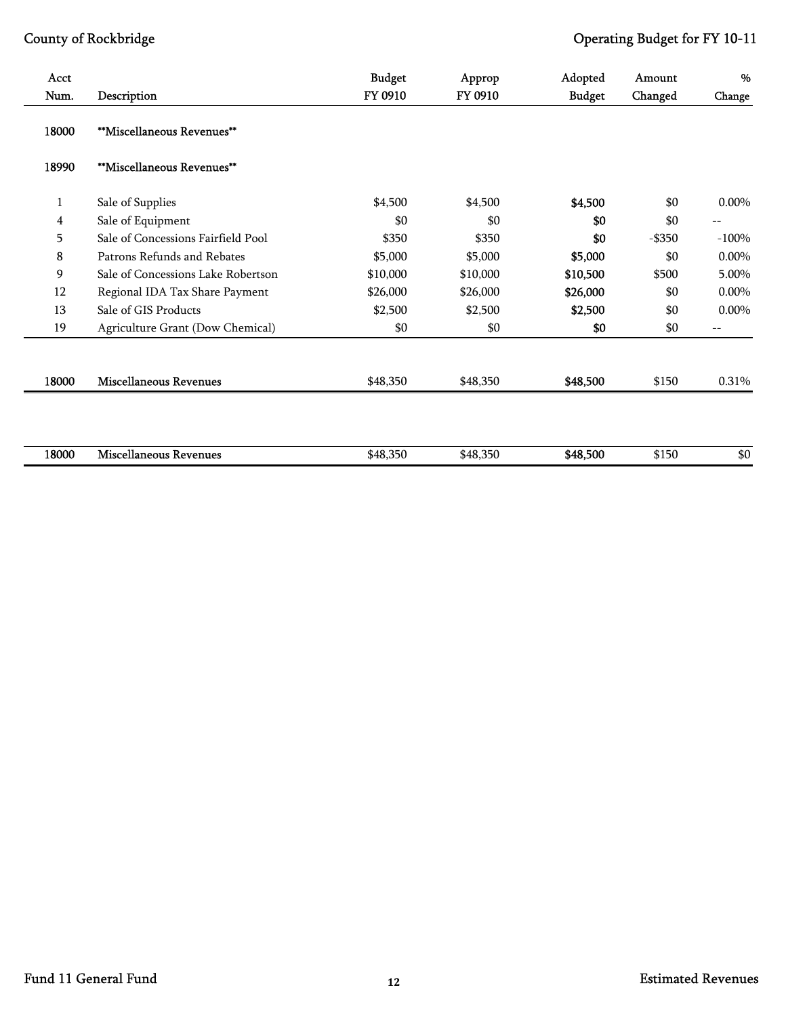| Acct<br>Num.   | Description                        | <b>Budget</b><br>FY 0910 | Approp<br>FY 0910 | Adopted<br><b>Budget</b> | Amount<br>Changed | %<br>Change |
|----------------|------------------------------------|--------------------------|-------------------|--------------------------|-------------------|-------------|
| 18000          | **Miscellaneous Revenues**         |                          |                   |                          |                   |             |
| 18990          | **Miscellaneous Revenues**         |                          |                   |                          |                   |             |
| $\mathbf 1$    | Sale of Supplies                   | \$4,500                  | \$4,500           | \$4,500                  | \$0               | $0.00\%$    |
| $\overline{4}$ | Sale of Equipment                  | \$0                      | \$0               | \$0                      | \$0               | $--$        |
| 5              | Sale of Concessions Fairfield Pool | \$350                    | \$350             | \$0                      | $-$ \$350         | $-100%$     |
| 8              | Patrons Refunds and Rebates        | \$5,000                  | \$5,000           | \$5,000                  | \$0               | 0.00%       |
| 9              | Sale of Concessions Lake Robertson | \$10,000                 | \$10,000          | \$10,500                 | \$500             | 5.00%       |
| 12             | Regional IDA Tax Share Payment     | \$26,000                 | \$26,000          | \$26,000                 | \$0               | 0.00%       |
| 13             | Sale of GIS Products               | \$2,500                  | \$2,500           | \$2,500                  | \$0               | $0.00\%$    |
| 19             | Agriculture Grant (Dow Chemical)   | \$0                      | \$0               | \$0                      | \$0               | $--$        |
| 18000          | <b>Miscellaneous Revenues</b>      | \$48,350                 | \$48,350          | \$48,500                 | \$150             | 0.31%       |
|                |                                    |                          |                   |                          |                   |             |
| 18000          | <b>Miscellaneous Revenues</b>      | \$48,350                 | \$48,350          | \$48,500                 | \$150             | \$0         |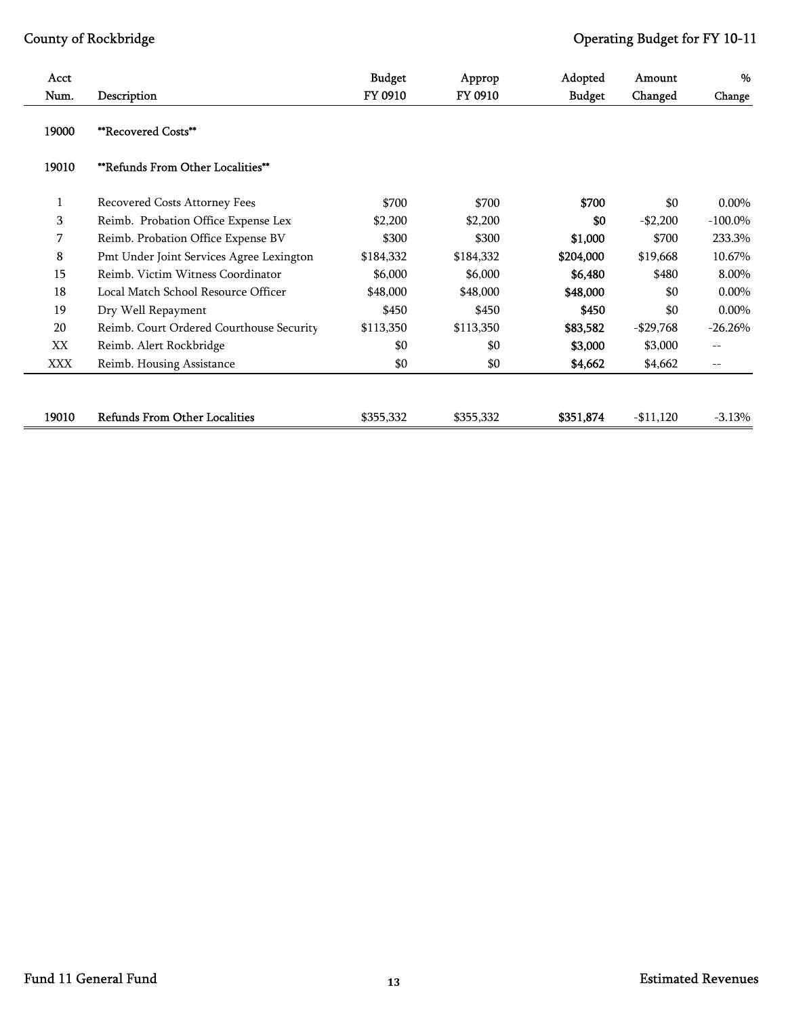| Acct<br>Num. | Description                              | <b>Budget</b><br>FY 0910 | Approp<br>FY 0910 | Adopted<br><b>Budget</b> | Amount<br>Changed | %<br>Change       |
|--------------|------------------------------------------|--------------------------|-------------------|--------------------------|-------------------|-------------------|
| 19000        | <b>**Recovered Costs**</b>               |                          |                   |                          |                   |                   |
| 19010        | <b>**Refunds From Other Localities**</b> |                          |                   |                          |                   |                   |
| 1            | Recovered Costs Attorney Fees            | \$700                    | \$700             | \$700                    | \$0               | $0.00\%$          |
| 3            | Reimb. Probation Office Expense Lex      | \$2,200                  | \$2,200           | \$0                      | $- $2,200$        | $-100.0\%$        |
| 7            | Reimb. Probation Office Expense BV       | \$300                    | \$300             | \$1,000                  | \$700             | 233.3%            |
| 8            | Pmt Under Joint Services Agree Lexington | \$184,332                | \$184,332         | \$204,000                | \$19,668          | 10.67%            |
| 15           | Reimb. Victim Witness Coordinator        | \$6,000                  | \$6,000           | \$6,480                  | \$480             | 8.00%             |
| 18           | Local Match School Resource Officer      | \$48,000                 | \$48,000          | \$48,000                 | \$0               | $0.00\%$          |
| 19           | Dry Well Repayment                       | \$450                    | \$450             | \$450                    | \$0               | $0.00\%$          |
| 20           | Reimb. Court Ordered Courthouse Security | \$113,350                | \$113,350         | \$83,582                 | $-$ \$29,768      | $-26.26%$         |
| XX           | Reimb. Alert Rockbridge                  | \$0                      | \$0               | \$3,000                  | \$3,000           | $-$               |
| XXX          | Reimb. Housing Assistance                | \$0                      | \$0               | \$4,662                  | \$4,662           | $\qquad \qquad -$ |
| 19010        | <b>Refunds From Other Localities</b>     | \$355,332                | \$355,332         | \$351,874                | $-11,120$         | $-3.13%$          |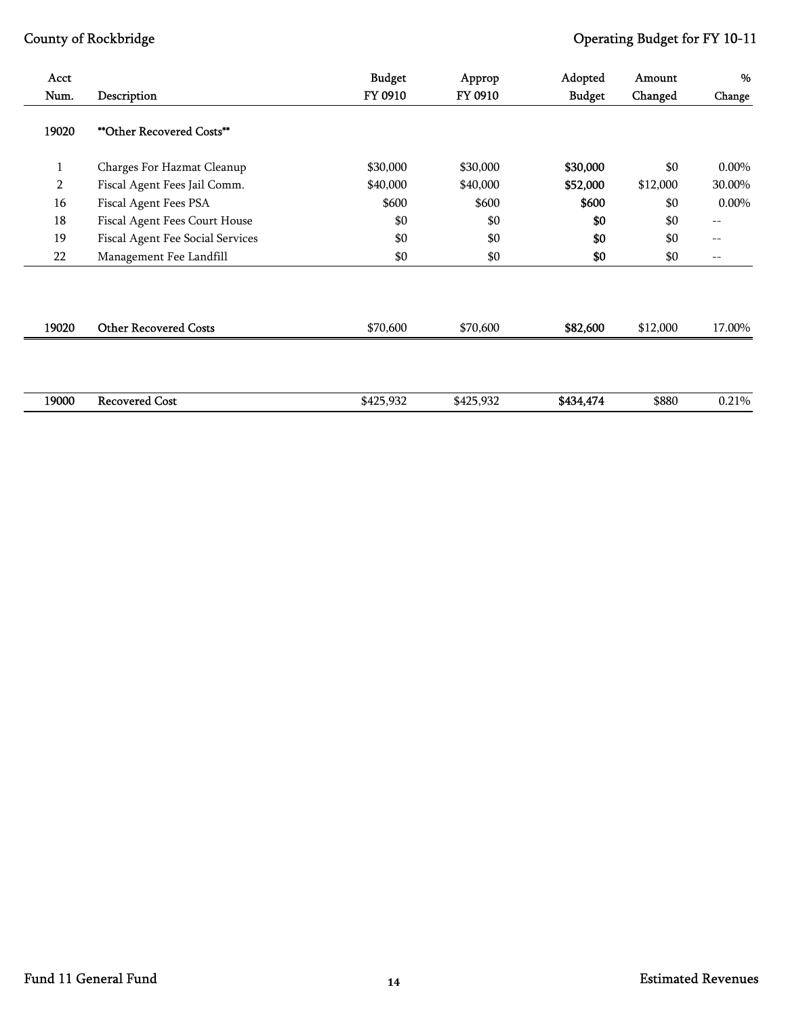| Acct           |                                  | <b>Budget</b> | Approp    | Adopted       | Amount   | %                 |
|----------------|----------------------------------|---------------|-----------|---------------|----------|-------------------|
| Num.           | Description                      | FY 0910       | FY 0910   | <b>Budget</b> | Changed  | Change            |
| 19020          | <b>**Other Recovered Costs**</b> |               |           |               |          |                   |
| $\mathbf{1}$   | Charges For Hazmat Cleanup       | \$30,000      | \$30,000  | \$30,000      | \$0      | $0.00\%$          |
| $\overline{2}$ | Fiscal Agent Fees Jail Comm.     | \$40,000      | \$40,000  | \$52,000      | \$12,000 | 30.00%            |
| 16             | Fiscal Agent Fees PSA            | \$600         | \$600     | \$600         | \$0      | $0.00\%$          |
| 18             | Fiscal Agent Fees Court House    | \$0           | \$0       | \$0           | \$0      | $\qquad \qquad -$ |
| 19             | Fiscal Agent Fee Social Services | \$0           | \$0       | \$0           | \$0      | $\qquad \qquad -$ |
| 22             | Management Fee Landfill          | \$0           | \$0       | \$0           | \$0      | $-\,-$            |
| 19020          | <b>Other Recovered Costs</b>     | \$70,600      | \$70,600  | \$82,600      | \$12,000 | 17.00%            |
| 19000          | <b>Recovered Cost</b>            | \$425,932     | \$425,932 | \$434,474     | \$880    | 0.21%             |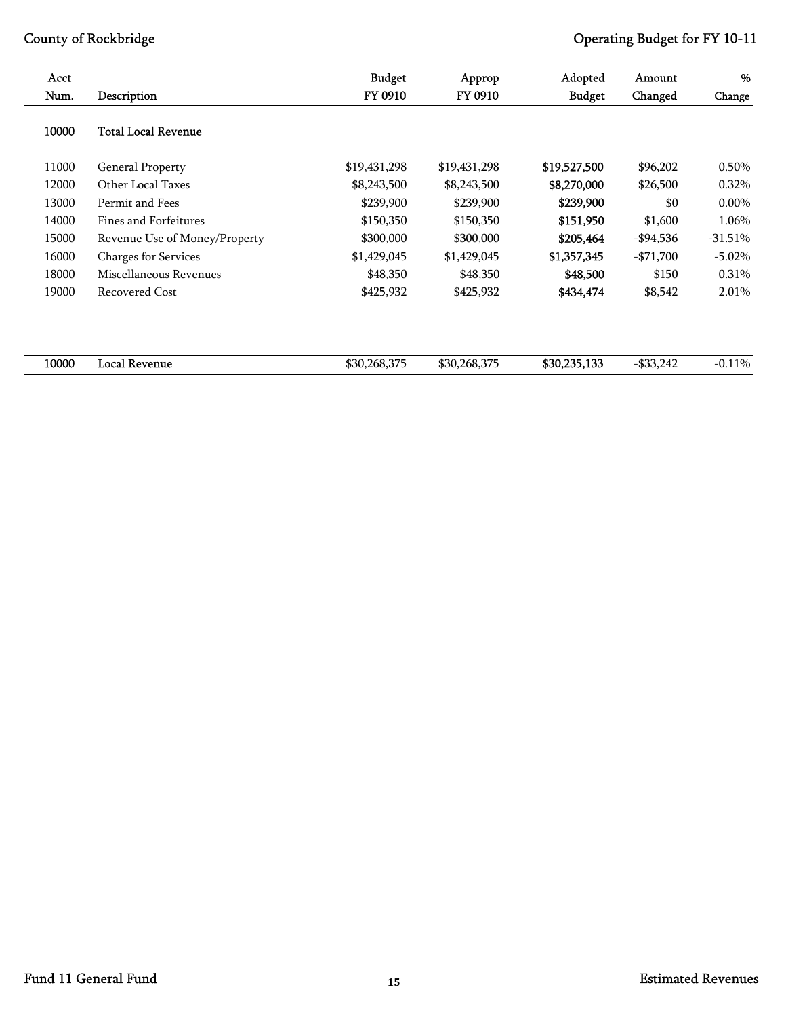| Acct  |                               | <b>Budget</b> | Approp       | Adopted       | Amount      | %         |
|-------|-------------------------------|---------------|--------------|---------------|-------------|-----------|
| Num.  | Description                   | FY 0910       | FY 0910      | <b>Budget</b> | Changed     | Change    |
| 10000 | <b>Total Local Revenue</b>    |               |              |               |             |           |
| 11000 | <b>General Property</b>       | \$19,431,298  | \$19,431,298 | \$19,527,500  | \$96,202    | 0.50%     |
| 12000 | Other Local Taxes             | \$8,243,500   | \$8,243,500  | \$8,270,000   | \$26,500    | 0.32%     |
| 13000 | Permit and Fees               | \$239,900     | \$239,900    | \$239,900     | \$0         | $0.00\%$  |
| 14000 | Fines and Forfeitures         | \$150,350     | \$150,350    | \$151,950     | \$1,600     | 1.06%     |
| 15000 | Revenue Use of Money/Property | \$300,000     | \$300,000    | \$205,464     | -\$94,536   | $-31.51%$ |
| 16000 | Charges for Services          | \$1,429,045   | \$1,429,045  | \$1,357,345   | $- $71,700$ | $-5.02\%$ |
| 18000 | Miscellaneous Revenues        | \$48,350      | \$48,350     | \$48,500      | \$150       | 0.31%     |
| 19000 | Recovered Cost                | \$425,932     | \$425,932    | \$434,474     | \$8,542     | 2.01%     |
|       |                               |               |              |               |             |           |

| 10000 | …ocal<br>. Kevenue | \$30,268,375<br>. . | \$30,268,375 | 100<br>\$30,235,133 | Ann<br>242<br>$\overline{4}$<br>. <i>. .</i> | 110%<br>$-U.H.L.$<br>. . |
|-------|--------------------|---------------------|--------------|---------------------|----------------------------------------------|--------------------------|
|       |                    |                     |              |                     |                                              |                          |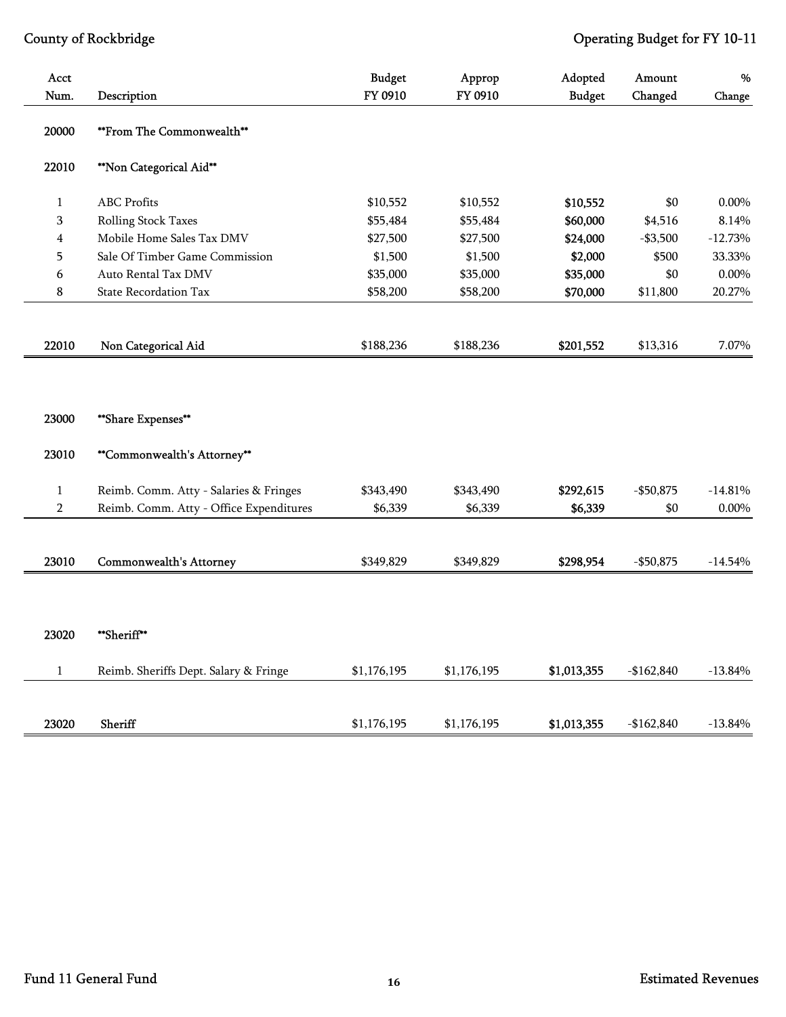| Acct<br>Num.            | Description                             | <b>Budget</b><br>FY 0910 | Approp<br>FY 0910 | Adopted<br><b>Budget</b> | Amount<br>Changed | %<br>Change |
|-------------------------|-----------------------------------------|--------------------------|-------------------|--------------------------|-------------------|-------------|
| 20000                   | **From The Commonwealth**               |                          |                   |                          |                   |             |
| 22010                   | **Non Categorical Aid**                 |                          |                   |                          |                   |             |
| $\mathbf{1}$            | <b>ABC</b> Profits                      | \$10,552                 | \$10,552          | \$10,552                 | \$0               | $0.00\%$    |
| 3                       | Rolling Stock Taxes                     | \$55,484                 | \$55,484          | \$60,000                 | \$4,516           | 8.14%       |
| $\overline{\mathbf{4}}$ | Mobile Home Sales Tax DMV               | \$27,500                 | \$27,500          | \$24,000                 | $- $3,500$        | $-12.73%$   |
| 5                       | Sale Of Timber Game Commission          | \$1,500                  | \$1,500           | \$2,000                  | \$500             | 33.33%      |
| 6                       | Auto Rental Tax DMV                     | \$35,000                 | \$35,000          | \$35,000                 | \$0               | $0.00\%$    |
| 8                       | <b>State Recordation Tax</b>            | \$58,200                 | \$58,200          | \$70,000                 | \$11,800          | 20.27%      |
|                         |                                         |                          |                   |                          |                   |             |
| 22010                   | Non Categorical Aid                     | \$188,236                | \$188,236         | \$201,552                | \$13,316          | 7.07%       |
|                         |                                         |                          |                   |                          |                   |             |
| 23000                   | **Share Expenses**                      |                          |                   |                          |                   |             |
| 23010                   | **Commonwealth's Attorney**             |                          |                   |                          |                   |             |
| $\mathbf{1}$            | Reimb. Comm. Atty - Salaries & Fringes  | \$343,490                | \$343,490         | \$292,615                | $-$50,875$        | $-14.81%$   |
| $\overline{2}$          | Reimb. Comm. Atty - Office Expenditures | \$6,339                  | \$6,339           | \$6,339                  | \$0               | $0.00\%$    |
|                         |                                         |                          |                   |                          |                   |             |
| 23010                   | Commonwealth's Attorney                 | \$349,829                | \$349,829         | \$298,954                | $-$50,875$        | $-14.54%$   |
|                         |                                         |                          |                   |                          |                   |             |
|                         |                                         |                          |                   |                          |                   |             |
| 23020                   | **Sheriff**                             |                          |                   |                          |                   |             |
| $\mathbf{1}$            | Reimb. Sheriffs Dept. Salary & Fringe   | \$1,176,195              | \$1,176,195       | \$1,013,355              | $-$162,840$       | $-13.84%$   |
|                         |                                         |                          |                   |                          |                   |             |
| 23020                   | Sheriff                                 | \$1,176,195              | \$1,176,195       | \$1,013,355              | $-$162,840$       | $-13.84%$   |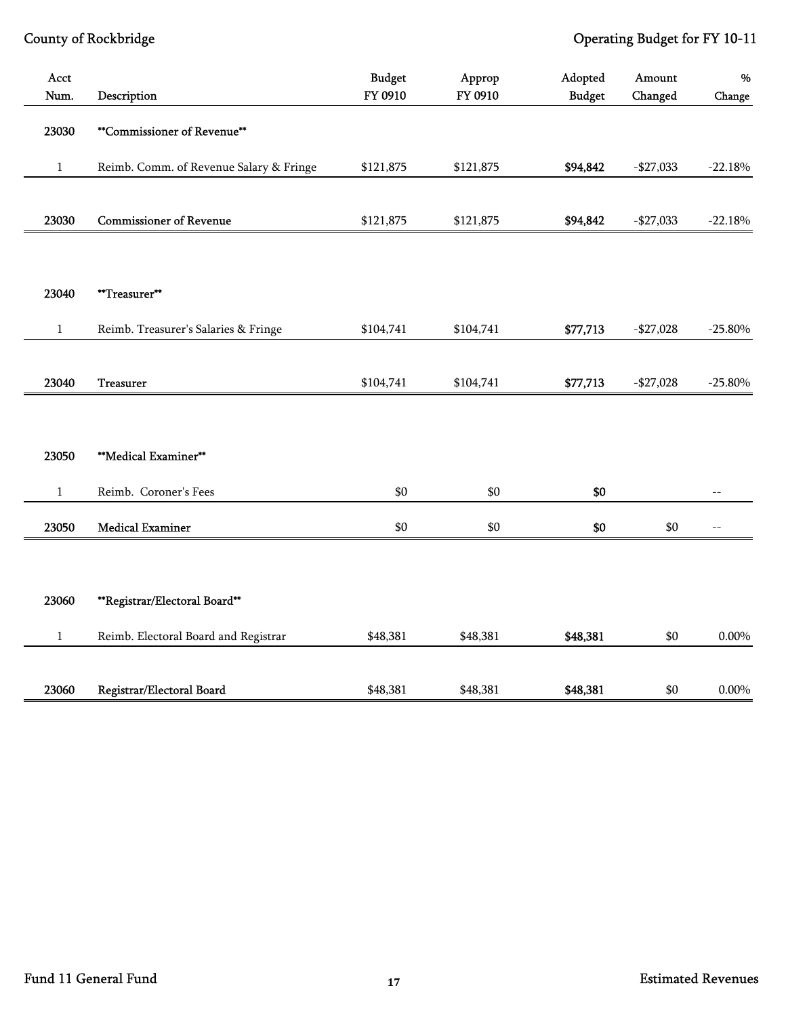| Acct         |                                         | <b>Budget</b> | Approp    | Adopted       | Amount      | %                |
|--------------|-----------------------------------------|---------------|-----------|---------------|-------------|------------------|
| Num.         | Description                             | FY 0910       | FY 0910   | <b>Budget</b> | Changed     | Change           |
| 23030        | <b>**Commissioner of Revenue**</b>      |               |           |               |             |                  |
| 1            | Reimb. Comm. of Revenue Salary & Fringe | \$121,875     | \$121,875 | \$94,842      | $-$27,033$  | $-22.18%$        |
|              |                                         |               |           |               |             |                  |
| 23030        | <b>Commissioner of Revenue</b>          | \$121,875     | \$121,875 | \$94,842      | $-$27,033$  | $-22.18%$        |
|              |                                         |               |           |               |             |                  |
| 23040        | **Treasurer**                           |               |           |               |             |                  |
| $\mathbf{1}$ | Reimb. Treasurer's Salaries & Fringe    | \$104,741     | \$104,741 | \$77,713      | $- $27,028$ | $-25.80%$        |
|              |                                         |               |           |               |             |                  |
| 23040        | <b>Treasurer</b>                        | \$104,741     | \$104,741 | \$77,713      | $-$27,028$  | $-25.80%$        |
|              |                                         |               |           |               |             |                  |
| 23050        | **Medical Examiner**                    |               |           |               |             |                  |
| $1\,$        | Reimb. Coroner's Fees                   | \$0           | \$0       | \$0           |             | $\frac{1}{2}$    |
| 23050        | <b>Medical Examiner</b>                 | \$0           | $\$0$     | \$0           | \$0         | $\mathrel{{-}-}$ |
|              |                                         |               |           |               |             |                  |
| 23060        | **Registrar/Electoral Board**           |               |           |               |             |                  |
| $\mathbf{1}$ | Reimb. Electoral Board and Registrar    | \$48,381      | \$48,381  | \$48,381      | \$0         | $0.00\%$         |
|              |                                         |               |           |               |             |                  |
| 23060        | Registrar/Electoral Board               | \$48,381      | \$48,381  | \$48,381      | \$0         | $0.00\%$         |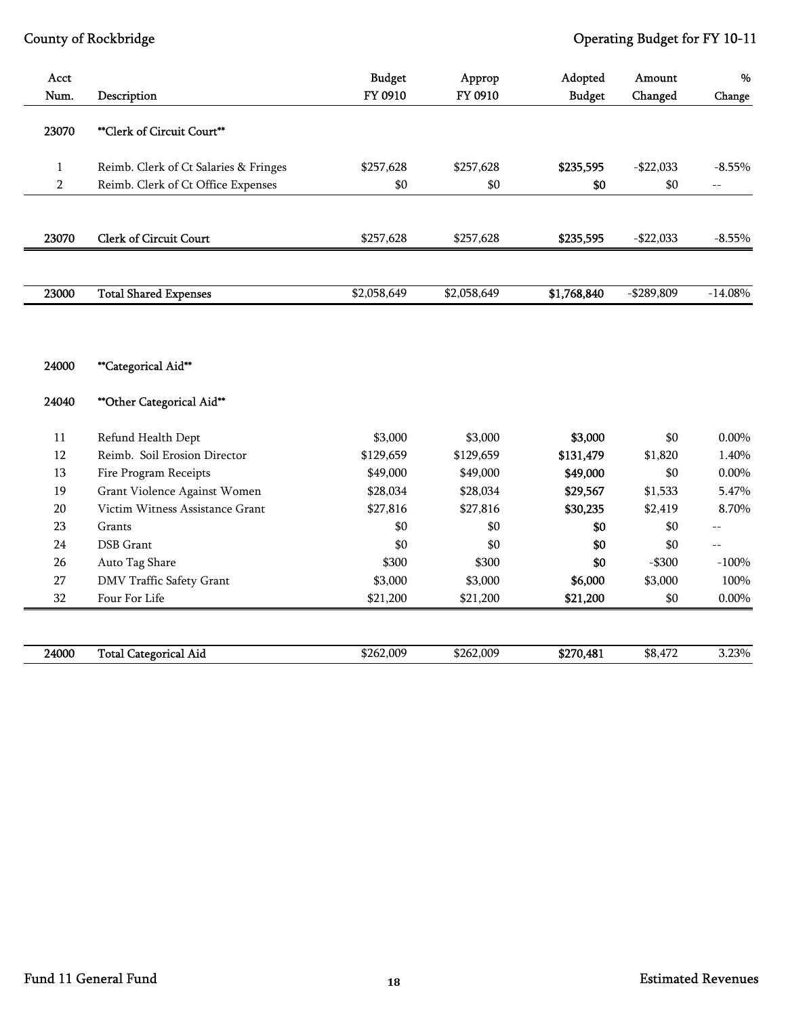| Acct<br>Num.   |                                       | <b>Budget</b><br>FY 0910 | Approp<br>FY 0910 | Adopted       | Amount        | $\%$              |
|----------------|---------------------------------------|--------------------------|-------------------|---------------|---------------|-------------------|
|                | Description                           |                          |                   | <b>Budget</b> | Changed       | Change            |
| 23070          | **Clerk of Circuit Court**            |                          |                   |               |               |                   |
| $\mathbf{1}$   | Reimb. Clerk of Ct Salaries & Fringes | \$257,628                | \$257,628         | \$235,595     | $-$22,033$    | $-8.55%$          |
| $\overline{2}$ | Reimb. Clerk of Ct Office Expenses    | \$0                      | \$0               | \$0           | \$0           | $\qquad \qquad -$ |
| 23070          | <b>Clerk of Circuit Court</b>         | \$257,628                | \$257,628         | \$235,595     | $-$ \$22,033  | $-8.55%$          |
| 23000          | <b>Total Shared Expenses</b>          | \$2,058,649              | \$2,058,649       | \$1,768,840   | $-$ \$289,809 | $-14.08%$         |
| 24000          | **Categorical Aid**                   |                          |                   |               |               |                   |
| 24040          | ** Other Categorical Aid**            |                          |                   |               |               |                   |
| $11\,$         | Refund Health Dept                    | \$3,000                  | \$3,000           | \$3,000       | \$0           | 0.00%             |
| 12             | Reimb. Soil Erosion Director          | \$129,659                | \$129,659         | \$131,479     | \$1,820       | 1.40%             |
| 13             | Fire Program Receipts                 | \$49,000                 | \$49,000          | \$49,000      | \$0           | $0.00\%$          |
| 19             | Grant Violence Against Women          | \$28,034                 | \$28,034          | \$29,567      | \$1,533       | 5.47%             |
| $20\,$         | Victim Witness Assistance Grant       | \$27,816                 | \$27,816          | \$30,235      | \$2,419       | 8.70%             |
| 23             | Grants                                | \$0                      | \$0               | \$0           | \$0           | $\overline{a}$    |
| 24             | <b>DSB</b> Grant                      | \$0                      | \$0               | \$0           | \$0           | $-$               |
| 26             | Auto Tag Share                        | \$300                    | \$300             | \$0           | $-$ \$300     | $-100%$           |
| 27             | DMV Traffic Safety Grant              | \$3,000                  | \$3,000           | \$6,000       | \$3,000       | 100%              |
| 32             | Four For Life                         | \$21,200                 | \$21,200          | \$21,200      | \$0           | $0.00\%$          |
| 24000          | <b>Total Categorical Aid</b>          | \$262,009                | \$262,009         | \$270,481     | \$8,472       | 3.23%             |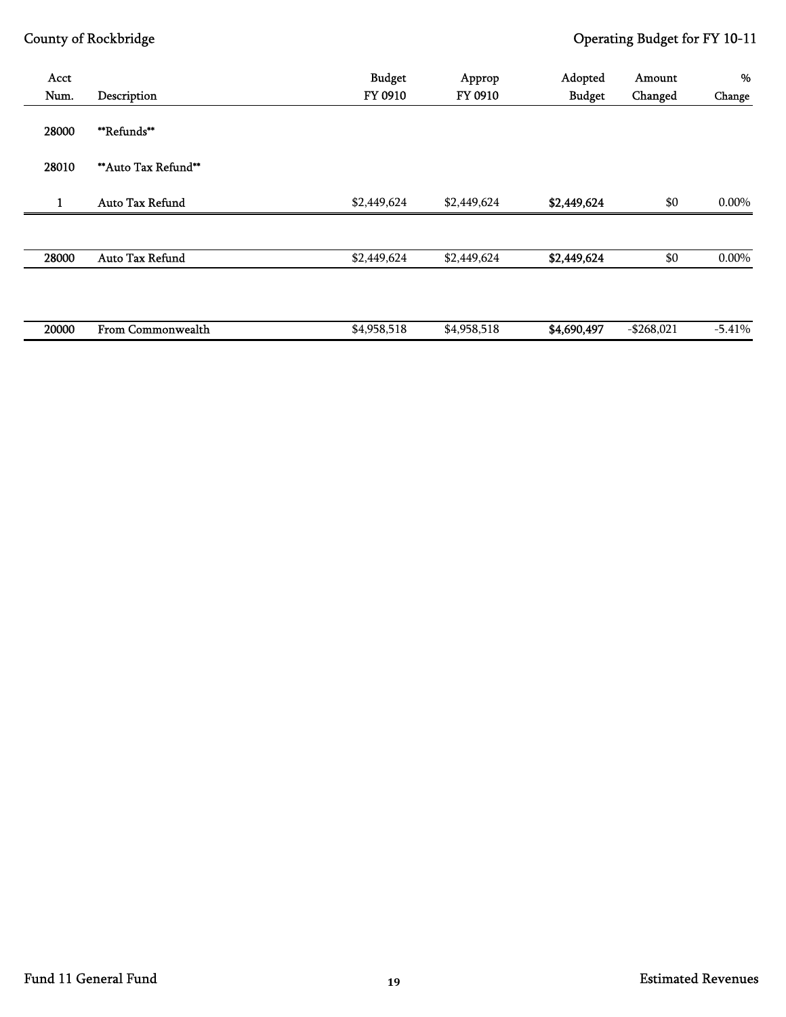| Acct<br>Num. | Description            | <b>Budget</b><br>FY 0910 | Approp<br>FY 0910 | Adopted<br><b>Budget</b> | Amount<br>Changed | %<br>Change |
|--------------|------------------------|--------------------------|-------------------|--------------------------|-------------------|-------------|
| 28000        | <b>**Refunds**</b>     |                          |                   |                          |                   |             |
| 28010        | ** Auto Tax Refund**   |                          |                   |                          |                   |             |
| 1            | <b>Auto Tax Refund</b> | \$2,449,624              | \$2,449,624       | \$2,449,624              | \$0               | $0.00\%$    |
|              |                        |                          |                   |                          |                   |             |
| 28000        | Auto Tax Refund        | \$2,449,624              | \$2,449,624       | \$2,449,624              | \$0               | $0.00\%$    |
|              |                        |                          |                   |                          |                   |             |
| 20000        | From Commonwealth      | \$4,958,518              | \$4,958,518       | \$4,690,497              | $-$ \$268,021     | $-5.41%$    |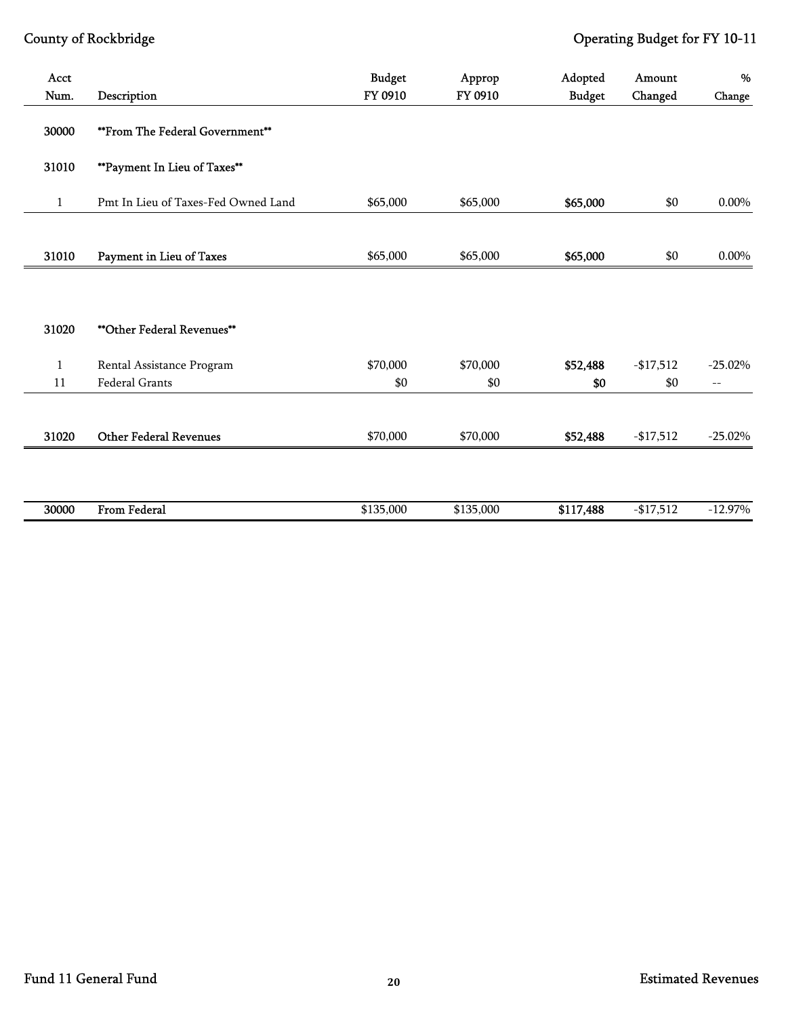| Acct<br>Num. |                                     | <b>Budget</b><br>FY 0910 | Approp<br>FY 0910 | Adopted       | Amount     | %          |
|--------------|-------------------------------------|--------------------------|-------------------|---------------|------------|------------|
|              | Description                         |                          |                   | <b>Budget</b> | Changed    | Change     |
| 30000        | **From The Federal Government**     |                          |                   |               |            |            |
| 31010        | **Payment In Lieu of Taxes**        |                          |                   |               |            |            |
| $\mathbf{1}$ | Pmt In Lieu of Taxes-Fed Owned Land | \$65,000                 | \$65,000          | \$65,000      | \$0        | 0.00%      |
|              |                                     |                          |                   |               |            |            |
| 31010        | Payment in Lieu of Taxes            | \$65,000                 | \$65,000          | \$65,000      | \$0        | 0.00%      |
|              |                                     |                          |                   |               |            |            |
|              |                                     |                          |                   |               |            |            |
| 31020        | **Other Federal Revenues**          |                          |                   |               |            |            |
| $\mathbf{1}$ | Rental Assistance Program           | \$70,000                 | \$70,000          | \$52,488      | $-$17,512$ | $-25.02\%$ |
| 11           | Federal Grants                      | \$0                      | \$0               | \$0           | \$0        | $--$       |
|              |                                     |                          |                   |               |            |            |
| 31020        | <b>Other Federal Revenues</b>       | \$70,000                 | \$70,000          | \$52,488      | $-17,512$  | $-25.02%$  |
|              |                                     |                          |                   |               |            |            |
|              |                                     |                          |                   |               |            |            |
| 30000        | From Federal                        | \$135,000                | \$135,000         | \$117,488     | $-$17,512$ | $-12.97%$  |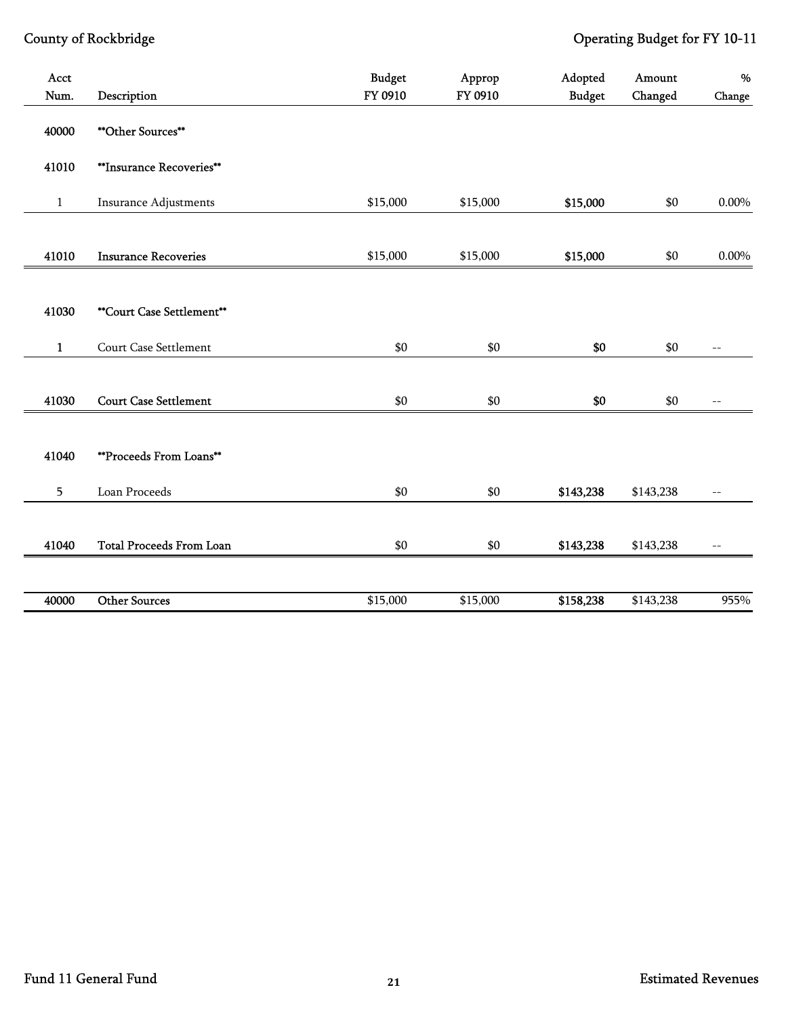| Acct<br>Num.    | Description                     | <b>Budget</b><br>FY 0910 | Approp<br>FY 0910 | Adopted<br><b>Budget</b> | Amount<br>Changed | $\%$<br>Change    |
|-----------------|---------------------------------|--------------------------|-------------------|--------------------------|-------------------|-------------------|
| 40000           | <b>**Other Sources**</b>        |                          |                   |                          |                   |                   |
|                 |                                 |                          |                   |                          |                   |                   |
| 41010           | **Insurance Recoveries**        |                          |                   |                          |                   |                   |
| $\,1\,$         | <b>Insurance Adjustments</b>    | \$15,000                 | \$15,000          | \$15,000                 | \$0               | $0.00\%$          |
|                 |                                 |                          |                   |                          |                   |                   |
| 41010           | <b>Insurance Recoveries</b>     | \$15,000                 | \$15,000          | \$15,000                 | $\$0$             | $0.00\%$          |
|                 |                                 |                          |                   |                          |                   |                   |
| 41030           | **Court Case Settlement**       |                          |                   |                          |                   |                   |
| $\mathbf{1}$    | Court Case Settlement           | \$0                      | \$0               | \$0                      | \$0               | $\qquad \qquad -$ |
|                 |                                 |                          |                   |                          |                   |                   |
| 41030           | <b>Court Case Settlement</b>    | \$0                      | \$0               | \$0                      | \$0               | $\overline{a}$    |
|                 |                                 |                          |                   |                          |                   |                   |
| 41040           | **Proceeds From Loans**         |                          |                   |                          |                   |                   |
| $5\overline{)}$ | Loan Proceeds                   | \$0                      | \$0               | \$143,238                | \$143,238         | $\overline{a}$    |
|                 |                                 |                          |                   |                          |                   |                   |
| 41040           | <b>Total Proceeds From Loan</b> | \$0                      | \$0               | \$143,238                | \$143,238         | $- -$             |
|                 |                                 |                          |                   |                          |                   |                   |
| 40000           | <b>Other Sources</b>            | \$15,000                 | \$15,000          | \$158,238                | \$143,238         | 955%              |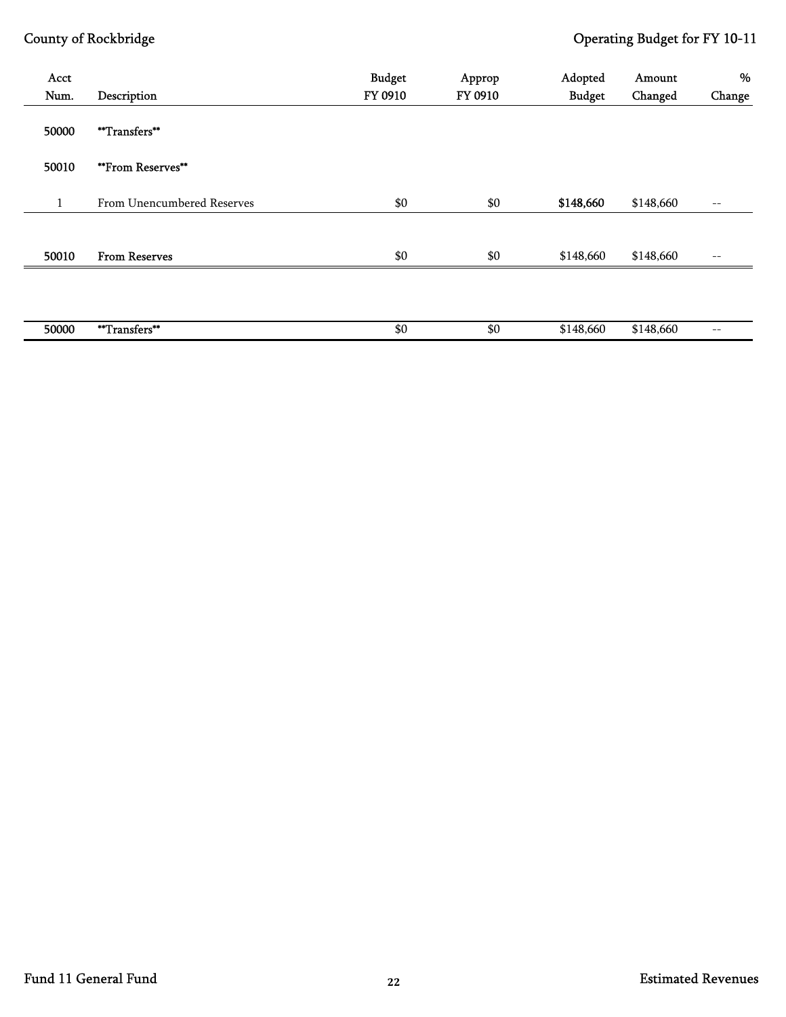| Acct<br>Num. |                            | <b>Budget</b><br>FY 0910 | Approp<br>FY 0910 | Adopted       | Amount    | %      |
|--------------|----------------------------|--------------------------|-------------------|---------------|-----------|--------|
|              | Description                |                          |                   | <b>Budget</b> | Changed   | Change |
| 50000        | **Transfers**              |                          |                   |               |           |        |
| 50010        | **From Reserves**          |                          |                   |               |           |        |
| $\mathbf{1}$ | From Unencumbered Reserves | \$0                      | \$0               | \$148,660     | \$148,660 | $--$   |
|              |                            |                          |                   |               |           |        |
| 50010        | <b>From Reserves</b>       | \$0                      | \$0               | \$148,660     | \$148,660 | $- -$  |
|              |                            |                          |                   |               |           |        |
|              |                            |                          |                   |               |           |        |
| 50000        | **Transfers**              | \$0                      | \$0               | \$148,660     | \$148,660 | $-\,-$ |
|              |                            |                          |                   |               |           |        |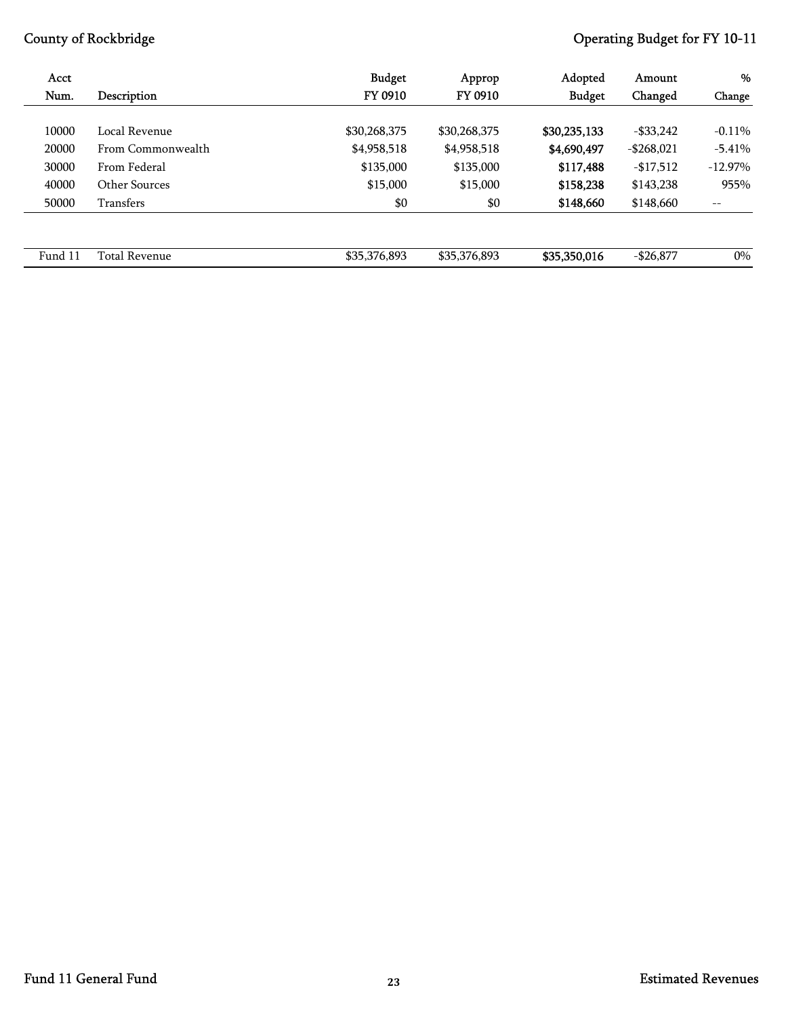| Acct    |                      | <b>Budget</b> | Approp       | Adopted       | Amount        | %         |
|---------|----------------------|---------------|--------------|---------------|---------------|-----------|
| Num.    | Description          | FY 0910       | FY 0910      | <b>Budget</b> | Changed       | Change    |
|         |                      |               |              |               |               |           |
| 10000   | Local Revenue        | \$30,268,375  | \$30,268,375 | \$30,235,133  | $-$ \$33,242  | $-0.11%$  |
| 20000   | From Commonwealth    | \$4,958,518   | \$4,958,518  | \$4,690,497   | $-$ \$268,021 | $-5.41%$  |
| 30000   | From Federal         | \$135,000     | \$135,000    | \$117,488     | $-17,512$     | $-12.97%$ |
| 40000   | Other Sources        | \$15,000      | \$15,000     | \$158,238     | \$143,238     | 955%      |
| 50000   | Transfers            | \$0           | \$0          | \$148,660     | \$148,660     | --        |
|         |                      |               |              |               |               |           |
|         |                      |               |              |               |               |           |
| Fund 11 | <b>Total Revenue</b> | \$35,376,893  | \$35,376,893 | \$35,350,016  | $-$ \$26,877  | $0\%$     |
|         |                      |               |              |               |               |           |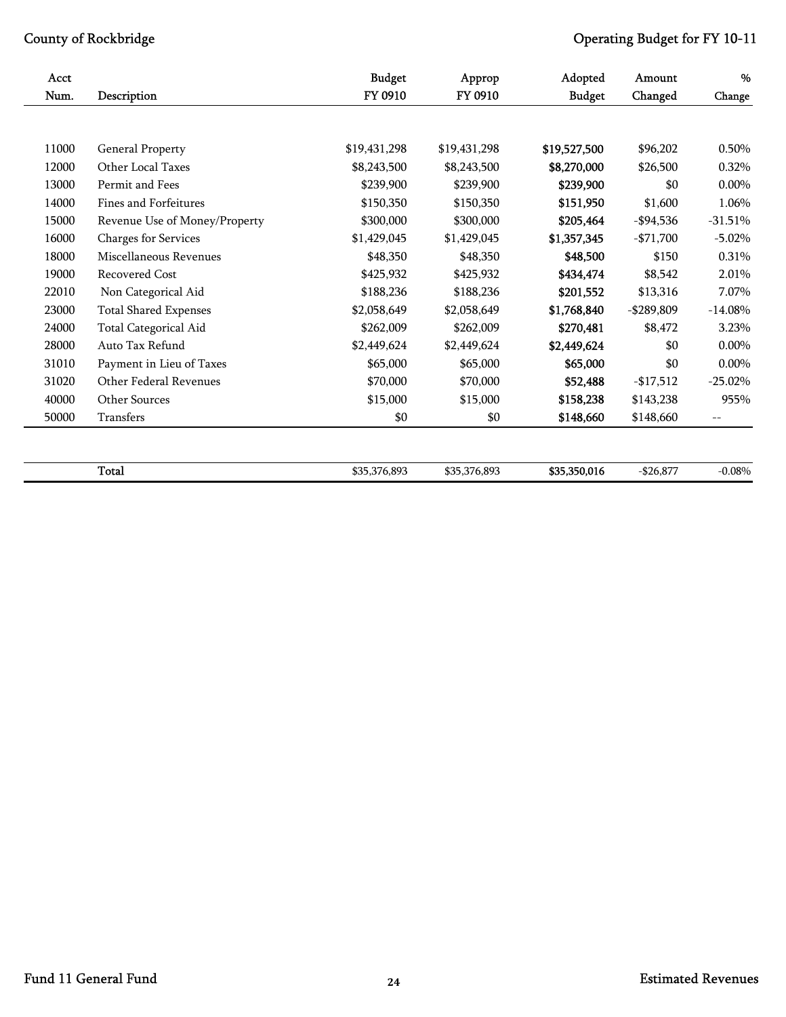| $\%$      | Amount        | Adopted       | Approp       | <b>Budget</b> |                               | Acct  |
|-----------|---------------|---------------|--------------|---------------|-------------------------------|-------|
| Change    | Changed       | <b>Budget</b> | FY 0910      | FY 0910       | Description                   | Num.  |
|           |               |               |              |               |                               |       |
| 0.50%     | \$96,202      | \$19,527,500  | \$19,431,298 | \$19,431,298  | <b>General Property</b>       | 11000 |
| 0.32%     | \$26,500      | \$8,270,000   | \$8,243,500  | \$8,243,500   | Other Local Taxes             | 12000 |
| $0.00\%$  | \$0           | \$239,900     | \$239,900    | \$239,900     | Permit and Fees               | 13000 |
| 1.06%     | \$1,600       | \$151,950     | \$150,350    | \$150,350     | Fines and Forfeitures         | 14000 |
| $-31.51%$ | $-$ \$94,536  | \$205,464     | \$300,000    | \$300,000     | Revenue Use of Money/Property | 15000 |
| $-5.02%$  | $-$ \$71,700  | \$1,357,345   | \$1,429,045  | \$1,429,045   | Charges for Services          | 16000 |
| 0.31%     | \$150         | \$48,500      | \$48,350     | \$48,350      | Miscellaneous Revenues        | 18000 |
| 2.01%     | \$8,542       | \$434,474     | \$425,932    | \$425,932     | Recovered Cost                | 19000 |
| 7.07%     | \$13,316      | \$201,552     | \$188,236    | \$188,236     | Non Categorical Aid           | 22010 |
| $-14.08%$ | $-$ \$289,809 | \$1,768,840   | \$2,058,649  | \$2,058,649   | Total Shared Expenses         | 23000 |
| 3.23%     | \$8,472       | \$270,481     | \$262,009    | \$262,009     | Total Categorical Aid         | 24000 |
| $0.00\%$  | \$0           | \$2,449,624   | \$2,449,624  | \$2,449,624   | Auto Tax Refund               | 28000 |
| 0.00%     | \$0           | \$65,000      | \$65,000     | \$65,000      | Payment in Lieu of Taxes      | 31010 |
| $-25.02%$ | $-17,512$     | \$52,488      | \$70,000     | \$70,000      | Other Federal Revenues        | 31020 |
| 955%      | \$143,238     | \$158,238     | \$15,000     | \$15,000      | <b>Other Sources</b>          | 40000 |
| $-\,-$    | \$148,660     | \$148,660     | \$0          | \$0           | Transfers                     | 50000 |

 $\textbf{Total}$  6.08%  $\textbf{35},376,893$   $\textbf{35},376,893$   $\textbf{35},376,893$   $\textbf{35},350,016$   $-\$26,877$   $-0.08\%$